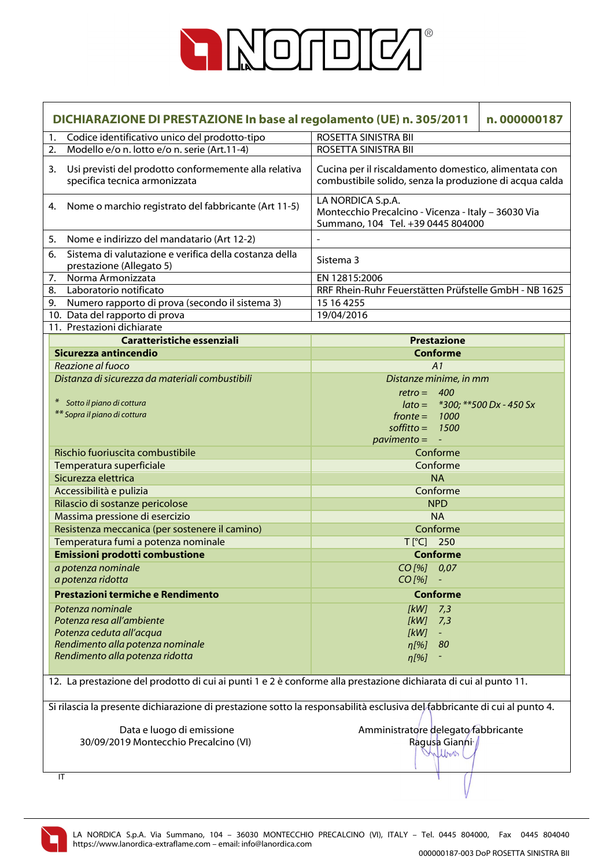

| DICHIARAZIONE DI PRESTAZIONE In base al regolamento (UE) n. 305/2011<br>n.000000187 |                                                                                                                           |                                                                                                                  |  |
|-------------------------------------------------------------------------------------|---------------------------------------------------------------------------------------------------------------------------|------------------------------------------------------------------------------------------------------------------|--|
| 1.                                                                                  | Codice identificativo unico del prodotto-tipo                                                                             | ROSETTA SINISTRA BII                                                                                             |  |
| 2.                                                                                  | Modello e/o n. lotto e/o n. serie (Art.11-4)                                                                              | ROSETTA SINISTRA BII                                                                                             |  |
| 3.                                                                                  | Usi previsti del prodotto conformemente alla relativa<br>specifica tecnica armonizzata                                    | Cucina per il riscaldamento domestico, alimentata con<br>combustibile solido, senza la produzione di acqua calda |  |
| 4.                                                                                  | Nome o marchio registrato del fabbricante (Art 11-5)                                                                      | LA NORDICA S.p.A.<br>Montecchio Precalcino - Vicenza - Italy - 36030 Via<br>Summano, 104 Tel. +39 0445 804000    |  |
| 5.                                                                                  | Nome e indirizzo del mandatario (Art 12-2)                                                                                |                                                                                                                  |  |
| 6.                                                                                  | Sistema di valutazione e verifica della costanza della<br>prestazione (Allegato 5)                                        | Sistema 3                                                                                                        |  |
| 7.                                                                                  | Norma Armonizzata                                                                                                         | EN 12815:2006                                                                                                    |  |
| 8.                                                                                  | Laboratorio notificato                                                                                                    | RRF Rhein-Ruhr Feuerstätten Prüfstelle GmbH - NB 1625                                                            |  |
| 9.                                                                                  | Numero rapporto di prova (secondo il sistema 3)                                                                           | 15 16 4255                                                                                                       |  |
|                                                                                     | 10. Data del rapporto di prova                                                                                            | 19/04/2016                                                                                                       |  |
|                                                                                     | 11. Prestazioni dichiarate                                                                                                |                                                                                                                  |  |
|                                                                                     | Caratteristiche essenziali                                                                                                | <b>Prestazione</b>                                                                                               |  |
|                                                                                     | Sicurezza antincendio                                                                                                     | <b>Conforme</b>                                                                                                  |  |
|                                                                                     | Reazione al fuoco                                                                                                         | A1                                                                                                               |  |
|                                                                                     | Distanza di sicurezza da materiali combustibili                                                                           | Distanze minime, in mm                                                                                           |  |
|                                                                                     |                                                                                                                           | $retro = 400$                                                                                                    |  |
|                                                                                     | Sotto il piano di cottura                                                                                                 | $\text{lato} =$ *300; **500 Dx - 450 Sx                                                                          |  |
|                                                                                     | ** Sopra il piano di cottura                                                                                              | $fronte = 1000$                                                                                                  |  |
|                                                                                     |                                                                                                                           | soffitto = $1500$                                                                                                |  |
|                                                                                     |                                                                                                                           | $pavimento = -$                                                                                                  |  |
|                                                                                     | Rischio fuoriuscita combustibile                                                                                          | Conforme                                                                                                         |  |
|                                                                                     | Temperatura superficiale                                                                                                  | Conforme                                                                                                         |  |
|                                                                                     | Sicurezza elettrica                                                                                                       | <b>NA</b>                                                                                                        |  |
|                                                                                     | Accessibilità e pulizia                                                                                                   | Conforme                                                                                                         |  |
|                                                                                     | Rilascio di sostanze pericolose                                                                                           | <b>NPD</b>                                                                                                       |  |
|                                                                                     | Massima pressione di esercizio                                                                                            | <b>NA</b>                                                                                                        |  |
|                                                                                     | Resistenza meccanica (per sostenere il camino)                                                                            | Conforme                                                                                                         |  |
|                                                                                     | Temperatura fumi a potenza nominale                                                                                       | $T[^{\circ}C]$ 250                                                                                               |  |
|                                                                                     | <b>Emissioni prodotti combustione</b>                                                                                     | <b>Conforme</b>                                                                                                  |  |
|                                                                                     | a potenza nominale                                                                                                        | CO [%] 0,07                                                                                                      |  |
|                                                                                     | a potenza ridotta                                                                                                         | $CO$ [%]                                                                                                         |  |
|                                                                                     | Prestazioni termiche e Rendimento                                                                                         | <b>Conforme</b>                                                                                                  |  |
|                                                                                     | Potenza nominale                                                                                                          | $[kW]$ 7,3                                                                                                       |  |
|                                                                                     | Potenza resa all'ambiente                                                                                                 | [kW]<br>7,3                                                                                                      |  |
|                                                                                     | Potenza ceduta all'acqua                                                                                                  | [kW]                                                                                                             |  |
|                                                                                     | Rendimento alla potenza nominale                                                                                          | $\eta$ [%] 80                                                                                                    |  |
|                                                                                     | Rendimento alla potenza ridotta                                                                                           | $\eta$ [%]                                                                                                       |  |
|                                                                                     |                                                                                                                           |                                                                                                                  |  |
|                                                                                     | 12. La prestazione del prodotto di cui ai punti 1 e 2 è conforme alla prestazione dichiarata di cui al punto 11.          |                                                                                                                  |  |
|                                                                                     | Si rilascia la presente dichiarazione di prestazione sotto la responsabilità esclusiva del fabbricante di cui al punto 4. |                                                                                                                  |  |
|                                                                                     | Data e luogo di emissione                                                                                                 | Amministratore delegato fabbricante                                                                              |  |
|                                                                                     | 30/09/2019 Montecchio Precalcino (VI)                                                                                     | Ragusa Gianni /                                                                                                  |  |
|                                                                                     |                                                                                                                           | Wilbert                                                                                                          |  |
|                                                                                     | IT                                                                                                                        |                                                                                                                  |  |

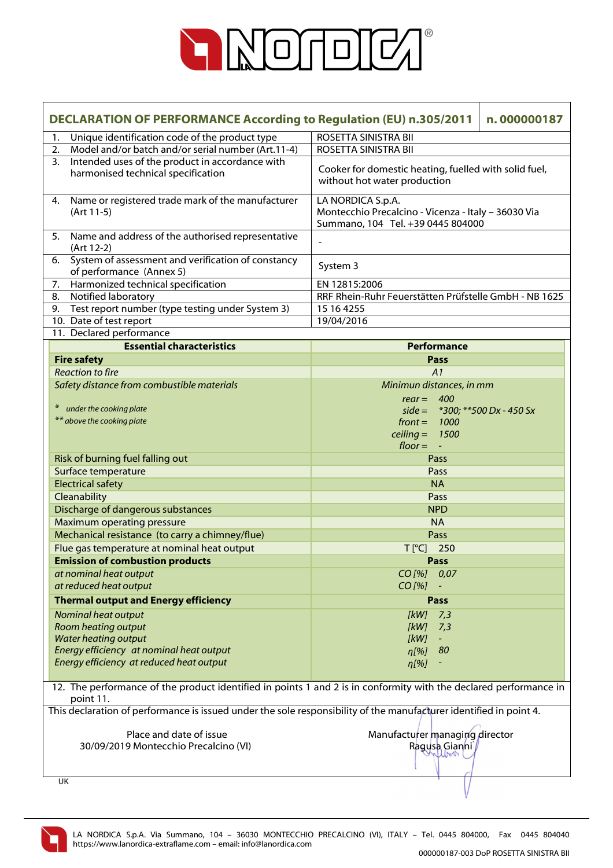

| <b>DECLARATION OF PERFORMANCE According to Regulation (EU) n.305/2011</b><br>n.000000187 |                                                                                                                    |                                                                                                                   |  |
|------------------------------------------------------------------------------------------|--------------------------------------------------------------------------------------------------------------------|-------------------------------------------------------------------------------------------------------------------|--|
| 1.                                                                                       | Unique identification code of the product type                                                                     | ROSETTA SINISTRA BII                                                                                              |  |
|                                                                                          | Model and/or batch and/or serial number (Art.11-4)<br>2.                                                           | ROSETTA SINISTRA BII                                                                                              |  |
|                                                                                          | Intended uses of the product in accordance with<br>3.<br>harmonised technical specification                        | Cooker for domestic heating, fuelled with solid fuel,<br>without hot water production                             |  |
| 4.                                                                                       | Name or registered trade mark of the manufacturer<br>(Art 11-5)                                                    | LA NORDICA S.p.A.<br>Montecchio Precalcino - Vicenza - Italy - 36030 Via<br>Summano, 104 Tel. +39 0445 804000     |  |
| 5.                                                                                       | Name and address of the authorised representative<br>(Art 12-2)                                                    | $\overline{\phantom{0}}$                                                                                          |  |
| 6.                                                                                       | System of assessment and verification of constancy<br>of performance (Annex 5)                                     | System 3                                                                                                          |  |
|                                                                                          | Harmonized technical specification<br>7.                                                                           | EN 12815:2006                                                                                                     |  |
| 8.                                                                                       | Notified laboratory                                                                                                | RRF Rhein-Ruhr Feuerstätten Prüfstelle GmbH - NB 1625                                                             |  |
| 9.                                                                                       | Test report number (type testing under System 3)                                                                   | 15 16 4255                                                                                                        |  |
|                                                                                          | 10. Date of test report                                                                                            | 19/04/2016                                                                                                        |  |
|                                                                                          | 11. Declared performance                                                                                           |                                                                                                                   |  |
|                                                                                          | <b>Essential characteristics</b>                                                                                   | Performance                                                                                                       |  |
|                                                                                          | <b>Fire safety</b>                                                                                                 | Pass                                                                                                              |  |
|                                                                                          | <b>Reaction to fire</b>                                                                                            | A1                                                                                                                |  |
|                                                                                          | Safety distance from combustible materials                                                                         | Minimun distances, in mm                                                                                          |  |
|                                                                                          | under the cooking plate<br>$\ast$                                                                                  | $rear = 400$                                                                                                      |  |
|                                                                                          | ** above the cooking plate                                                                                         | side = $*300$ ; $**500$ Dx - 450 Sx                                                                               |  |
|                                                                                          |                                                                                                                    | $front = 1000$                                                                                                    |  |
|                                                                                          |                                                                                                                    | ceiling = $1500$<br>$floor = -$                                                                                   |  |
|                                                                                          | Risk of burning fuel falling out                                                                                   | Pass                                                                                                              |  |
|                                                                                          | Surface temperature                                                                                                | Pass                                                                                                              |  |
|                                                                                          | <b>Electrical safety</b>                                                                                           | <b>NA</b>                                                                                                         |  |
|                                                                                          | Cleanability                                                                                                       | Pass                                                                                                              |  |
|                                                                                          | Discharge of dangerous substances                                                                                  | <b>NPD</b>                                                                                                        |  |
|                                                                                          | Maximum operating pressure                                                                                         | <b>NA</b>                                                                                                         |  |
|                                                                                          | Mechanical resistance (to carry a chimney/flue)                                                                    | Pass                                                                                                              |  |
|                                                                                          | Flue gas temperature at nominal heat output                                                                        | $T$ [ $^{\circ}$ C]<br>250                                                                                        |  |
|                                                                                          | <b>Emission of combustion products</b>                                                                             | <b>Pass</b>                                                                                                       |  |
|                                                                                          | at nominal heat output                                                                                             | $CO$ [%] $0.07$                                                                                                   |  |
|                                                                                          | at reduced heat output                                                                                             | $CO$ [%]                                                                                                          |  |
|                                                                                          | <b>Thermal output and Energy efficiency</b>                                                                        | Pass                                                                                                              |  |
|                                                                                          |                                                                                                                    |                                                                                                                   |  |
|                                                                                          | Nominal heat output                                                                                                | [kW]<br>7,3                                                                                                       |  |
|                                                                                          | Room heating output<br><b>Water heating output</b>                                                                 | [kW]<br>7,3<br>[KW]                                                                                               |  |
|                                                                                          | Energy efficiency at nominal heat output                                                                           | 80<br>n[%]                                                                                                        |  |
|                                                                                          | Energy efficiency at reduced heat output                                                                           | $\eta$ [%]                                                                                                        |  |
|                                                                                          |                                                                                                                    |                                                                                                                   |  |
|                                                                                          | point 11.                                                                                                          | 12. The performance of the product identified in points 1 and 2 is in conformity with the declared performance in |  |
|                                                                                          | This declaration of performance is issued under the sole responsibility of the manufacturer identified in point 4. |                                                                                                                   |  |
|                                                                                          | Place and date of issue<br>Manufacturer managing director                                                          |                                                                                                                   |  |
| 30/09/2019 Montecchio Precalcino (VI)                                                    |                                                                                                                    | Ragusa Gianni                                                                                                     |  |
|                                                                                          |                                                                                                                    |                                                                                                                   |  |
|                                                                                          | UK                                                                                                                 |                                                                                                                   |  |
|                                                                                          |                                                                                                                    |                                                                                                                   |  |

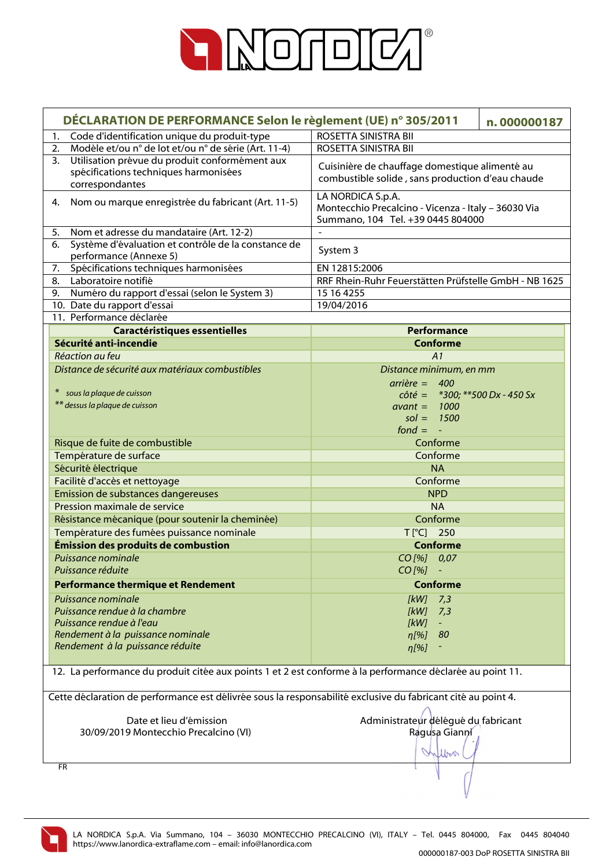

| DÉCLARATION DE PERFORMANCE Selon le règlement (UE) n° 305/2011                                               | n.000000187                                           |
|--------------------------------------------------------------------------------------------------------------|-------------------------------------------------------|
| Code d'identification unique du produit-type<br>1.                                                           | ROSETTA SINISTRA BII                                  |
| Modèle et/ou n° de lot et/ou n° de série (Art. 11-4)<br>2.                                                   | ROSETTA SINISTRA BII                                  |
| Utilisation prévue du produit conformément aux<br>3.                                                         |                                                       |
| spécifications techniques harmonisées                                                                        | Cuisinière de chauffage domestique alimenté au        |
| correspondantes                                                                                              | combustible solide, sans production d'eau chaude      |
| Nom ou marque enregistrée du fabricant (Art. 11-5)<br>4.                                                     | LA NORDICA S.p.A.                                     |
|                                                                                                              | Montecchio Precalcino - Vicenza - Italy - 36030 Via   |
|                                                                                                              | Summano, 104 Tel. +39 0445 804000                     |
| Nom et adresse du mandataire (Art. 12-2)<br>5.                                                               | $\blacksquare$                                        |
| Système d'évaluation et contrôle de la constance de<br>6.                                                    | System 3                                              |
| performance (Annexe 5)<br>Spécifications techniques harmonisées<br>7.                                        | EN 12815:2006                                         |
| Laboratoire notifié<br>8.                                                                                    | RRF Rhein-Ruhr Feuerstätten Prüfstelle GmbH - NB 1625 |
| Numéro du rapport d'essai (selon le System 3)<br>9.                                                          | 15 16 4255                                            |
| 10. Date du rapport d'essai                                                                                  | 19/04/2016                                            |
| 11. Performance déclarée                                                                                     |                                                       |
| <b>Caractéristiques essentielles</b>                                                                         | Performance                                           |
| Sécurité anti-incendie                                                                                       | <b>Conforme</b>                                       |
| Réaction au feu                                                                                              | A1                                                    |
| Distance de sécurité aux matériaux combustibles                                                              | Distance minimum, en mm                               |
|                                                                                                              | $arrière = 400$                                       |
| sous la plaque de cuisson<br>$*$                                                                             | $\hat{c}$ côté = *300; **500 Dx - 450 Sx              |
| ** dessus la plaque de cuisson                                                                               | $avant = 1000$                                        |
|                                                                                                              | $sol = 1500$                                          |
|                                                                                                              | $fond = -$                                            |
| Risque de fuite de combustible                                                                               | Conforme                                              |
| Température de surface                                                                                       | Conforme                                              |
| Sécurité électrique                                                                                          | <b>NA</b>                                             |
| Facilité d'accès et nettoyage                                                                                | Conforme                                              |
| Emission de substances dangereuses                                                                           | <b>NPD</b>                                            |
| Pression maximale de service                                                                                 | <b>NA</b>                                             |
| Résistance mécanique (pour soutenir la cheminée)                                                             | Conforme                                              |
| Température des fumées puissance nominale                                                                    | T[°C] 250                                             |
| Émission des produits de combustion                                                                          | <b>Conforme</b>                                       |
| Puissance nominale                                                                                           | CO[%] 0,07                                            |
| Puissance réduite                                                                                            | CO [%]                                                |
| <b>Performance thermique et Rendement</b>                                                                    | <b>Conforme</b>                                       |
| Puissance nominale                                                                                           | 7,3<br>[kW]                                           |
| Puissance rendue à la chambre                                                                                | [kW]<br>7,3                                           |
| Puissance rendue à l'eau                                                                                     | [kW]<br>$\sim$                                        |
| Rendement à la puissance nominale                                                                            | 80<br>η[%]                                            |
| Rendement à la puissance réduite                                                                             | $\eta$ [%]                                            |
|                                                                                                              |                                                       |
| 12. La performance du produit citée aux points 1 et 2 est conforme à la performance déclarée au point 11.    |                                                       |
|                                                                                                              |                                                       |
| Cette déclaration de performance est délivrée sous la responsabilité exclusive du fabricant cité au point 4. |                                                       |
| Date et lieu d'émission                                                                                      | Administrateur délégué du fabricant                   |
| 30/09/2019 Montecchio Precalcino (VI)                                                                        | Ragusa Gianni                                         |
|                                                                                                              |                                                       |
|                                                                                                              | Inflow                                                |
| FR                                                                                                           |                                                       |
|                                                                                                              |                                                       |
|                                                                                                              |                                                       |

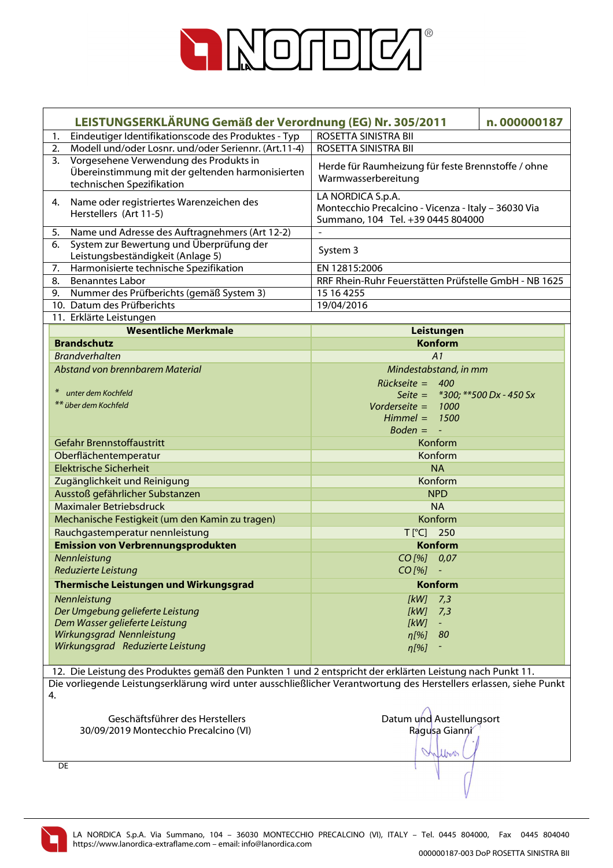

|                                            | LEISTUNGSERKLÄRUNG Gemäß der Verordnung (EG) Nr. 305/2011                                                               |                                                                                                               |                  | n.000000187                        |
|--------------------------------------------|-------------------------------------------------------------------------------------------------------------------------|---------------------------------------------------------------------------------------------------------------|------------------|------------------------------------|
| 1.                                         | Eindeutiger Identifikationscode des Produktes - Typ                                                                     | ROSETTA SINISTRA BII                                                                                          |                  |                                    |
| 2.                                         | Modell und/oder Losnr. und/oder Seriennr. (Art.11-4)                                                                    | ROSETTA SINISTRA BII                                                                                          |                  |                                    |
| 3.                                         | Vorgesehene Verwendung des Produkts in<br>Übereinstimmung mit der geltenden harmonisierten<br>technischen Spezifikation | Herde für Raumheizung für feste Brennstoffe / ohne<br>Warmwasserbereitung                                     |                  |                                    |
| 4.                                         | Name oder registriertes Warenzeichen des<br>Herstellers (Art 11-5)                                                      | LA NORDICA S.p.A.<br>Montecchio Precalcino - Vicenza - Italy - 36030 Via<br>Summano, 104 Tel. +39 0445 804000 |                  |                                    |
| 5.                                         | Name und Adresse des Auftragnehmers (Art 12-2)                                                                          |                                                                                                               |                  |                                    |
| 6.                                         | System zur Bewertung und Überprüfung der<br>Leistungsbeständigkeit (Anlage 5)                                           | System 3                                                                                                      |                  |                                    |
| 7.                                         | Harmonisierte technische Spezifikation                                                                                  | EN 12815:2006                                                                                                 |                  |                                    |
| 8.                                         | <b>Benanntes Labor</b>                                                                                                  | RRF Rhein-Ruhr Feuerstätten Prüfstelle GmbH - NB 1625                                                         |                  |                                    |
| 9.                                         | Nummer des Prüfberichts (gemäß System 3)                                                                                | 15 16 4255                                                                                                    |                  |                                    |
|                                            | 10. Datum des Prüfberichts                                                                                              | 19/04/2016                                                                                                    |                  |                                    |
|                                            | 11. Erklärte Leistungen                                                                                                 |                                                                                                               |                  |                                    |
|                                            | <b>Wesentliche Merkmale</b>                                                                                             |                                                                                                               | Leistungen       |                                    |
| <b>Brandschutz</b>                         |                                                                                                                         |                                                                                                               | <b>Konform</b>   |                                    |
| <b>Brandverhalten</b>                      |                                                                                                                         |                                                                                                               | A1               |                                    |
|                                            | Abstand von brennbarem Material                                                                                         | Mindestabstand, in mm                                                                                         |                  |                                    |
| unter dem Kochfeld<br>** über dem Kochfeld |                                                                                                                         | Rückseite = 400<br>Vorderseite = $1000$<br>$Himmel =$<br>$Boden = -$                                          | 1500             | Seite = $*300$ ; **500 Dx - 450 Sx |
|                                            | Gefahr Brennstoffaustritt                                                                                               |                                                                                                               | Konform          |                                    |
| Oberflächentemperatur                      |                                                                                                                         |                                                                                                               | Konform          |                                    |
| <b>Elektrische Sicherheit</b>              |                                                                                                                         |                                                                                                               | <b>NA</b>        |                                    |
|                                            | Zugänglichkeit und Reinigung                                                                                            |                                                                                                               | Konform          |                                    |
|                                            | Ausstoß gefährlicher Substanzen                                                                                         |                                                                                                               | <b>NPD</b>       |                                    |
|                                            | <b>Maximaler Betriebsdruck</b>                                                                                          |                                                                                                               | <b>NA</b>        |                                    |
|                                            | Mechanische Festigkeit (um den Kamin zu tragen)                                                                         |                                                                                                               | Konform          |                                    |
|                                            | Rauchgastemperatur nennleistung                                                                                         | T[°C] 250                                                                                                     |                  |                                    |
|                                            | <b>Emission von Verbrennungsprodukten</b>                                                                               |                                                                                                               | <b>Konform</b>   |                                    |
| Nennleistung                               |                                                                                                                         | CO[%] 0,07                                                                                                    |                  |                                    |
| Reduzierte Leistung                        |                                                                                                                         | CO [%]                                                                                                        |                  |                                    |
|                                            | Thermische Leistungen und Wirkungsgrad                                                                                  |                                                                                                               | <b>Konform</b>   |                                    |
| Nennleistung                               |                                                                                                                         | [kW]                                                                                                          | 7,3              |                                    |
|                                            | Der Umgebung gelieferte Leistung                                                                                        | [kW]                                                                                                          | 7,3              |                                    |
|                                            | Dem Wasser gelieferte Leistung                                                                                          | [kW]                                                                                                          | $\omega_{\rm c}$ |                                    |
|                                            | Wirkungsgrad Nennleistung                                                                                               | $\eta$ [%]                                                                                                    | 80               |                                    |
|                                            | Wirkungsgrad Reduzierte Leistung                                                                                        | $\eta$ [%]                                                                                                    |                  |                                    |
|                                            |                                                                                                                         |                                                                                                               |                  |                                    |
|                                            | 12. Die Leistung des Produktes gemäß den Punkten 1 und 2 entspricht der erklärten Leistung nach Punkt 11.               |                                                                                                               |                  |                                    |
|                                            | Die vorliegende Leistungserklärung wird unter ausschließlicher Verantwortung des Herstellers erlassen, siehe Punkt      |                                                                                                               |                  |                                    |
| 4.                                         |                                                                                                                         |                                                                                                               |                  |                                    |
|                                            | Geschäftsführer des Herstellers                                                                                         | Datum und Austellungsort                                                                                      |                  |                                    |
|                                            | 30/09/2019 Montecchio Precalcino (VI)                                                                                   |                                                                                                               | Ragusa Gianni    |                                    |
|                                            |                                                                                                                         |                                                                                                               |                  |                                    |

DE

LA NORDICA S.p.A. Via Summano, 104 – 36030 MONTECCHIO PRECALCINO (VI), ITALY – Tel. 0445 804000, Fax 0445 804040 https://www.lanordica-extraflame.com – email: info@lanordica.com

1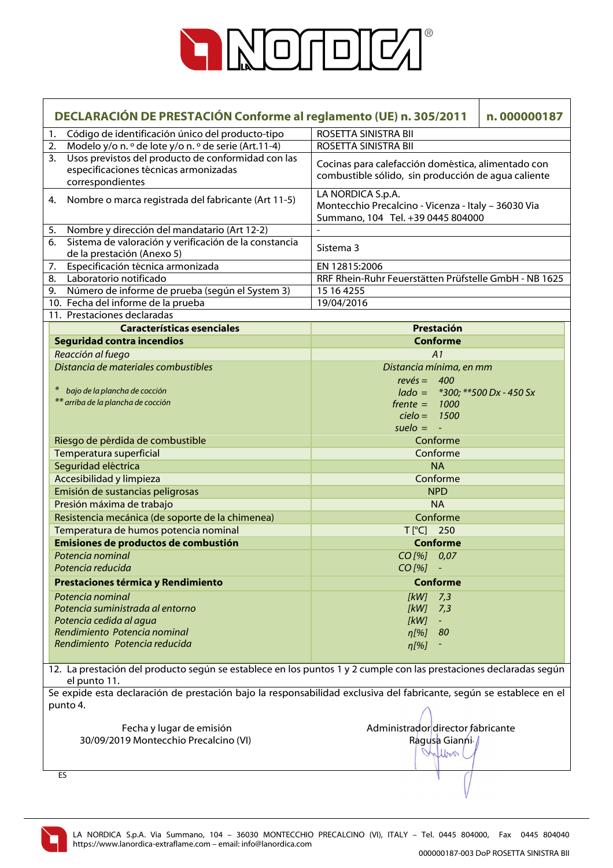

| DECLARACIÓN DE PRESTACIÓN Conforme al reglamento (UE) n. 305/2011<br>n.000000187 |                                                                               |                                                                                                                     |
|----------------------------------------------------------------------------------|-------------------------------------------------------------------------------|---------------------------------------------------------------------------------------------------------------------|
| 1.                                                                               | Código de identificación único del producto-tipo                              | ROSETTA SINISTRA BII                                                                                                |
| 2.                                                                               | Modelo y/o n. º de lote y/o n. º de serie (Art.11-4)                          | ROSETTA SINISTRA BII                                                                                                |
| 3.                                                                               | Usos previstos del producto de conformidad con las                            | Cocinas para calefacción doméstica, alimentado con                                                                  |
|                                                                                  | especificaciones técnicas armonizadas                                         | combustible sólido, sin producción de agua caliente                                                                 |
|                                                                                  | correspondientes                                                              |                                                                                                                     |
| 4.                                                                               | Nombre o marca registrada del fabricante (Art 11-5)                           | LA NORDICA S.p.A.<br>Montecchio Precalcino - Vicenza - Italy - 36030 Via                                            |
|                                                                                  |                                                                               | Summano, 104 Tel. +39 0445 804000                                                                                   |
| 5.                                                                               | Nombre y dirección del mandatario (Art 12-2)                                  |                                                                                                                     |
| 6.                                                                               | Sistema de valoración y verificación de la constancia                         |                                                                                                                     |
|                                                                                  | de la prestación (Anexo 5)                                                    | Sistema 3                                                                                                           |
| 7.                                                                               | Especificación técnica armonizada                                             | EN 12815:2006                                                                                                       |
| 8.                                                                               | Laboratorio notificado                                                        | RRF Rhein-Ruhr Feuerstätten Prüfstelle GmbH - NB 1625                                                               |
| 9.                                                                               | Número de informe de prueba (según el System 3)                               | 15 16 4255                                                                                                          |
|                                                                                  | 10. Fecha del informe de la prueba                                            | 19/04/2016                                                                                                          |
|                                                                                  | 11. Prestaciones declaradas                                                   |                                                                                                                     |
|                                                                                  | <b>Características esenciales</b><br><b>Seguridad contra incendios</b>        | Prestación<br><b>Conforme</b>                                                                                       |
|                                                                                  | Reacción al fuego                                                             | A1                                                                                                                  |
|                                                                                  | Distancia de materiales combustibles                                          | Distancia mínima, en mm                                                                                             |
|                                                                                  |                                                                               | $rev\acute{e}s = 400$                                                                                               |
|                                                                                  | $\ast$<br>bajo de la plancha de cocción                                       | $lado = *300; **500 Dx - 450 Sx$                                                                                    |
|                                                                                  | ** arriba de la plancha de cocción                                            | $f$ rente = 1000                                                                                                    |
|                                                                                  |                                                                               | $cielo = 1500$                                                                                                      |
|                                                                                  |                                                                               | $suelo = -$                                                                                                         |
|                                                                                  | Riesgo de pérdida de combustible                                              | Conforme                                                                                                            |
|                                                                                  | Temperatura superficial                                                       | Conforme                                                                                                            |
|                                                                                  | Seguridad eléctrica                                                           | <b>NA</b>                                                                                                           |
|                                                                                  | Accesibilidad y limpieza                                                      | Conforme                                                                                                            |
|                                                                                  | Emisión de sustancias peligrosas                                              | <b>NPD</b>                                                                                                          |
|                                                                                  | Presión máxima de trabajo                                                     | <b>NA</b>                                                                                                           |
|                                                                                  | Resistencia mecánica (de soporte de la chimenea)                              | Conforme                                                                                                            |
|                                                                                  | Temperatura de humos potencia nominal<br>Emisiones de productos de combustión | T[°C] 250<br><b>Conforme</b>                                                                                        |
|                                                                                  | Potencia nominal                                                              | CO[%] 0,07                                                                                                          |
|                                                                                  | Potencia reducida                                                             | $CO$ [%]                                                                                                            |
|                                                                                  | Prestaciones térmica y Rendimiento                                            | <b>Conforme</b>                                                                                                     |
|                                                                                  | Potencia nominal                                                              |                                                                                                                     |
|                                                                                  | Potencia suministrada al entorno                                              | [kW]<br>7,3<br><b>IkWI</b><br>7,3                                                                                   |
|                                                                                  | Potencia cedida al agua                                                       | [kW]<br>$\equiv$                                                                                                    |
|                                                                                  | Rendimiento Potencia nominal                                                  | 80<br>$\eta$ [%]                                                                                                    |
|                                                                                  | Rendimiento Potencia reducida                                                 | $\eta$ [%]                                                                                                          |
|                                                                                  |                                                                               |                                                                                                                     |
|                                                                                  | el punto 11.                                                                  | 12. La prestación del producto según se establece en los puntos 1 y 2 cumple con las prestaciones declaradas según  |
|                                                                                  |                                                                               | Se expide esta declaración de prestación bajo la responsabilidad exclusiva del fabricante, según se establece en el |
|                                                                                  | punto 4.                                                                      |                                                                                                                     |
|                                                                                  | Fecha y lugar de emisión                                                      | Administrador director fabricante                                                                                   |
|                                                                                  | 30/09/2019 Montecchio Precalcino (VI)                                         | Ragusa Gianni /                                                                                                     |
|                                                                                  |                                                                               | Wilbert                                                                                                             |
|                                                                                  |                                                                               |                                                                                                                     |
|                                                                                  | ES                                                                            |                                                                                                                     |
|                                                                                  |                                                                               |                                                                                                                     |

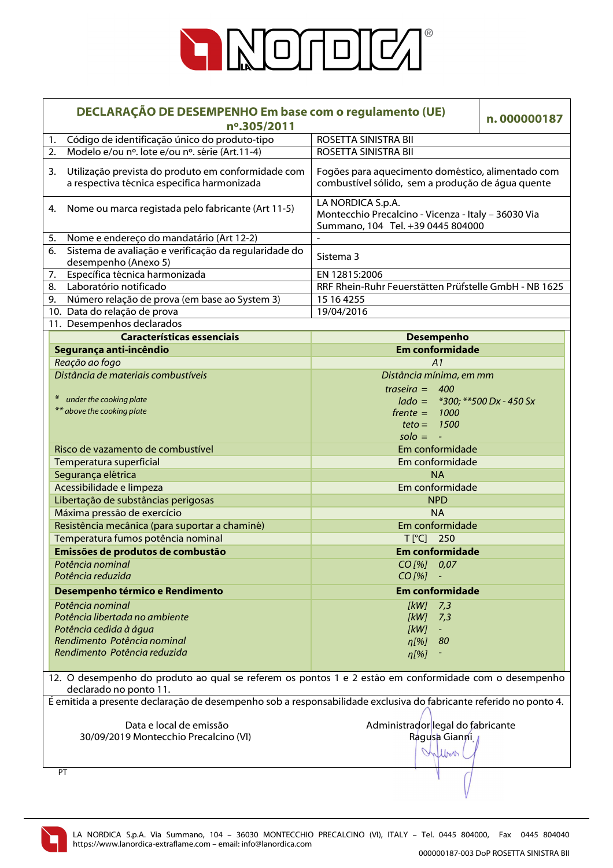

| DECLARAÇÃO DE DESEMPENHO Em base com o regulamento (UE)<br>nº.305/2011 |                                                                                                                                 |                                                                                                               | n.000000187 |
|------------------------------------------------------------------------|---------------------------------------------------------------------------------------------------------------------------------|---------------------------------------------------------------------------------------------------------------|-------------|
| 1.                                                                     | Código de identificação único do produto-tipo                                                                                   | ROSETTA SINISTRA BII                                                                                          |             |
| 2.                                                                     | Modelo e/ou nº. lote e/ou nº. série (Art.11-4)                                                                                  | ROSETTA SINISTRA BII                                                                                          |             |
| 3.                                                                     | Utilização prevista do produto em conformidade com<br>a respectiva técnica especifica harmonizada                               | Fogões para aquecimento doméstico, alimentado com<br>combustível sólido, sem a produção de água quente        |             |
| 4.                                                                     | Nome ou marca registada pelo fabricante (Art 11-5)                                                                              | LA NORDICA S.p.A.<br>Montecchio Precalcino - Vicenza - Italy - 36030 Via<br>Summano, 104 Tel. +39 0445 804000 |             |
| 5.                                                                     | Nome e endereço do mandatário (Art 12-2)                                                                                        |                                                                                                               |             |
| 6.                                                                     | Sistema de avaliação e verificação da regularidade do<br>desempenho (Anexo 5)                                                   | Sistema 3                                                                                                     |             |
| 7.                                                                     | Específica técnica harmonizada                                                                                                  | EN 12815:2006                                                                                                 |             |
| 8.                                                                     | Laboratório notificado                                                                                                          | RRF Rhein-Ruhr Feuerstätten Prüfstelle GmbH - NB 1625                                                         |             |
| 9.                                                                     | Número relação de prova (em base ao System 3)                                                                                   | 15 16 4255                                                                                                    |             |
|                                                                        | 10. Data do relação de prova                                                                                                    | 19/04/2016                                                                                                    |             |
|                                                                        | 11. Desempenhos declarados                                                                                                      |                                                                                                               |             |
|                                                                        | <b>Características essenciais</b>                                                                                               | <b>Desempenho</b>                                                                                             |             |
|                                                                        | Segurança anti-incêndio                                                                                                         | <b>Em conformidade</b>                                                                                        |             |
|                                                                        | Reação ao fogo                                                                                                                  | A1                                                                                                            |             |
|                                                                        | Distância de materiais combustíveis                                                                                             | Distância mínima, em mm                                                                                       |             |
|                                                                        |                                                                                                                                 | traseira = $400$                                                                                              |             |
|                                                                        | under the cooking plate                                                                                                         | $lado = *300; **500 Dx - 450 Sx$                                                                              |             |
|                                                                        | ** above the cooking plate                                                                                                      | $f$ rente $=$<br>1000                                                                                         |             |
|                                                                        |                                                                                                                                 | 1500<br>$teto =$                                                                                              |             |
|                                                                        |                                                                                                                                 | $\mathsf{solo} = -$                                                                                           |             |
|                                                                        | Risco de vazamento de combustível                                                                                               | Em conformidade                                                                                               |             |
|                                                                        | Temperatura superficial                                                                                                         | Em conformidade                                                                                               |             |
| Segurança elétrica                                                     |                                                                                                                                 | <b>NA</b>                                                                                                     |             |
|                                                                        | Acessibilidade e limpeza                                                                                                        | Em conformidade                                                                                               |             |
|                                                                        | Libertação de substâncias perigosas                                                                                             | <b>NPD</b>                                                                                                    |             |
|                                                                        | Máxima pressão de exercício                                                                                                     | <b>NA</b>                                                                                                     |             |
|                                                                        | Resistência mecânica (para suportar a chaminé)                                                                                  | Em conformidade                                                                                               |             |
|                                                                        | Temperatura fumos potência nominal                                                                                              | T[°C] 250                                                                                                     |             |
|                                                                        | Emissões de produtos de combustão                                                                                               | <b>Em conformidade</b>                                                                                        |             |
|                                                                        | Potência nominal                                                                                                                | $CO$ [%] $0.07$                                                                                               |             |
|                                                                        | Potência reduzida                                                                                                               | $CO$ [%]                                                                                                      |             |
|                                                                        | Desempenho térmico e Rendimento                                                                                                 | <b>Em conformidade</b>                                                                                        |             |
|                                                                        | Potência nominal                                                                                                                | [kW]<br>7,3                                                                                                   |             |
|                                                                        | Potência libertada no ambiente                                                                                                  | [kW]<br>7,3                                                                                                   |             |
|                                                                        | Potência cedida à água                                                                                                          | [kW]<br>$\sim$                                                                                                |             |
|                                                                        | Rendimento Potência nominal                                                                                                     | 80<br>$n[\%]$                                                                                                 |             |
|                                                                        | Rendimento Potência reduzida                                                                                                    | $\eta$ [%]                                                                                                    |             |
|                                                                        |                                                                                                                                 |                                                                                                               |             |
|                                                                        | 12. O desempenho do produto ao qual se referem os pontos 1 e 2 estão em conformidade com o desempenho<br>declarado no ponto 11. |                                                                                                               |             |
|                                                                        | É emitida a presente declaração de desempenho sob a responsabilidade exclusiva do fabricante referido no ponto 4.               |                                                                                                               |             |
|                                                                        |                                                                                                                                 |                                                                                                               |             |
|                                                                        | Data e local de emissão                                                                                                         | Administrador legal do fabricante                                                                             |             |
|                                                                        | 30/09/2019 Montecchio Precalcino (VI)                                                                                           | Ragusa Gianni                                                                                                 |             |
|                                                                        |                                                                                                                                 | Inflow                                                                                                        |             |
|                                                                        | PT                                                                                                                              |                                                                                                               |             |
|                                                                        |                                                                                                                                 |                                                                                                               |             |

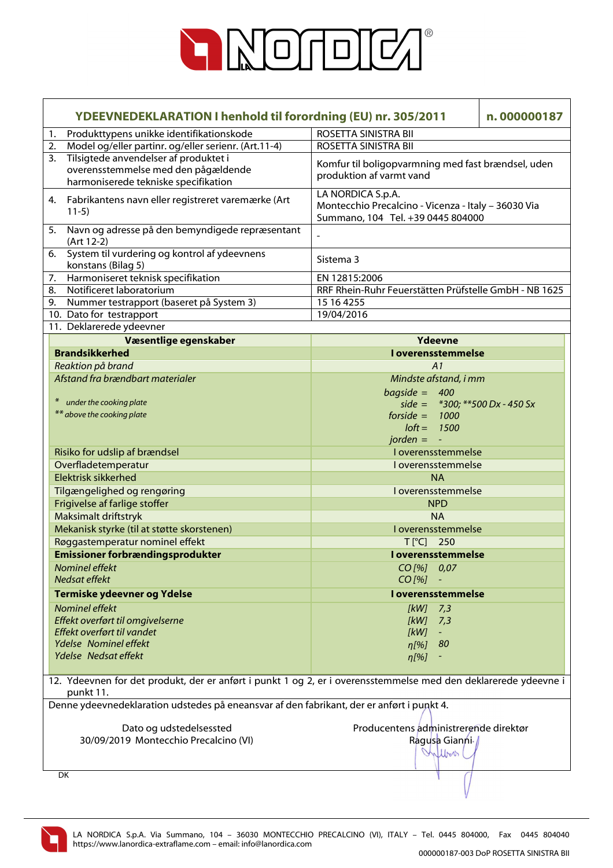

|    | YDEEVNEDEKLARATION I henhold til forordning (EU) nr. 305/2011                                                                |                                                                                                               | n.000000187 |
|----|------------------------------------------------------------------------------------------------------------------------------|---------------------------------------------------------------------------------------------------------------|-------------|
| 1. | Produkttypens unikke identifikationskode                                                                                     | ROSETTA SINISTRA BII                                                                                          |             |
| 2. | Model og/eller partinr. og/eller serienr. (Art.11-4)                                                                         | ROSETTA SINISTRA BII                                                                                          |             |
| 3. | Tilsigtede anvendelser af produktet i<br>overensstemmelse med den pågældende<br>harmoniserede tekniske specifikation         | Komfur til boligopvarmning med fast brændsel, uden<br>produktion af varmt vand                                |             |
|    | 4. Fabrikantens navn eller registreret varemærke (Art<br>$11-5)$                                                             | LA NORDICA S.p.A.<br>Montecchio Precalcino - Vicenza - Italy - 36030 Via<br>Summano, 104 Tel. +39 0445 804000 |             |
| 5. | Navn og adresse på den bemyndigede repræsentant<br>(Art 12-2)                                                                |                                                                                                               |             |
| 6. | System til vurdering og kontrol af ydeevnens<br>konstans (Bilag 5)                                                           | Sistema 3                                                                                                     |             |
| 7. | Harmoniseret teknisk specifikation                                                                                           | EN 12815:2006                                                                                                 |             |
| 8. | Notificeret laboratorium                                                                                                     | RRF Rhein-Ruhr Feuerstätten Prüfstelle GmbH - NB 1625                                                         |             |
| 9. | Nummer testrapport (baseret på System 3)                                                                                     | 15 16 4255                                                                                                    |             |
|    | 10. Dato for testrapport                                                                                                     | 19/04/2016                                                                                                    |             |
|    | 11. Deklarerede ydeevner                                                                                                     |                                                                                                               |             |
|    | Væsentlige egenskaber                                                                                                        | <b>Ydeevne</b>                                                                                                |             |
|    | <b>Brandsikkerhed</b>                                                                                                        | <b>I</b> overensstemmelse                                                                                     |             |
|    | Reaktion på brand                                                                                                            | A <sub>1</sub>                                                                                                |             |
|    | Afstand fra brændbart materialer                                                                                             | Mindste afstand, i mm                                                                                         |             |
|    |                                                                                                                              | $bagside = 400$                                                                                               |             |
|    | under the cooking plate                                                                                                      | side = $*300$ ; $**500$ Dx - 450 Sx                                                                           |             |
|    | ** above the cooking plate                                                                                                   | $forside =$<br>1000                                                                                           |             |
|    |                                                                                                                              | $I$ oft =<br>1500                                                                                             |             |
|    |                                                                                                                              | $jorden =$<br>$\blacksquare$                                                                                  |             |
|    | Risiko for udslip af brændsel                                                                                                | I overensstemmelse                                                                                            |             |
|    | Overfladetemperatur                                                                                                          | I overensstemmelse                                                                                            |             |
|    | <b>Elektrisk sikkerhed</b>                                                                                                   | <b>NA</b>                                                                                                     |             |
|    | Tilgængelighed og rengøring                                                                                                  | I overensstemmelse                                                                                            |             |
|    | Frigivelse af farlige stoffer                                                                                                | <b>NPD</b>                                                                                                    |             |
|    | Maksimalt driftstryk                                                                                                         | <b>NA</b>                                                                                                     |             |
|    | Mekanisk styrke (til at støtte skorstenen)                                                                                   | I overensstemmelse                                                                                            |             |
|    | Røggastemperatur nominel effekt                                                                                              | $T[^{\circ}C]$<br>250                                                                                         |             |
|    | <b>Emissioner forbrændingsprodukter</b>                                                                                      | <b>Loverensstemmelse</b>                                                                                      |             |
|    | <b>Nominel effekt</b>                                                                                                        | $CO$ [%] $0.07$                                                                                               |             |
|    | Nedsat effekt                                                                                                                | $CO$ [%]                                                                                                      |             |
|    | Termiske ydeevner og Ydelse                                                                                                  | I overensstemmelse                                                                                            |             |
|    | <b>Nominel effekt</b>                                                                                                        | $[kW]$ 7,3                                                                                                    |             |
|    | Effekt overført til omgivelserne                                                                                             | $[kW]$ 7,3                                                                                                    |             |
|    | Effekt overført til vandet                                                                                                   | [kW]<br>$\omega_{\rm c}$                                                                                      |             |
|    | Ydelse Nominel effekt                                                                                                        | 80<br>$n[\%]$                                                                                                 |             |
|    | Ydelse Nedsat effekt                                                                                                         | $\eta$ [%]                                                                                                    |             |
|    |                                                                                                                              |                                                                                                               |             |
|    | 12. Ydeevnen for det produkt, der er anført i punkt 1 og 2, er i overensstemmelse med den deklarerede ydeevne i<br>punkt 11. |                                                                                                               |             |
|    | Denne ydeevnedeklaration udstedes på eneansvar af den fabrikant, der er anført i punkt 4.                                    |                                                                                                               |             |
|    |                                                                                                                              |                                                                                                               |             |
|    | Dato og udstedelsessted                                                                                                      | Producentens administrerende direktør                                                                         |             |
|    | 30/09/2019 Montecchio Precalcino (VI)                                                                                        | Ragusa Gianni /                                                                                               |             |
|    |                                                                                                                              | Inflow                                                                                                        |             |
|    | DK                                                                                                                           |                                                                                                               |             |
|    |                                                                                                                              |                                                                                                               |             |

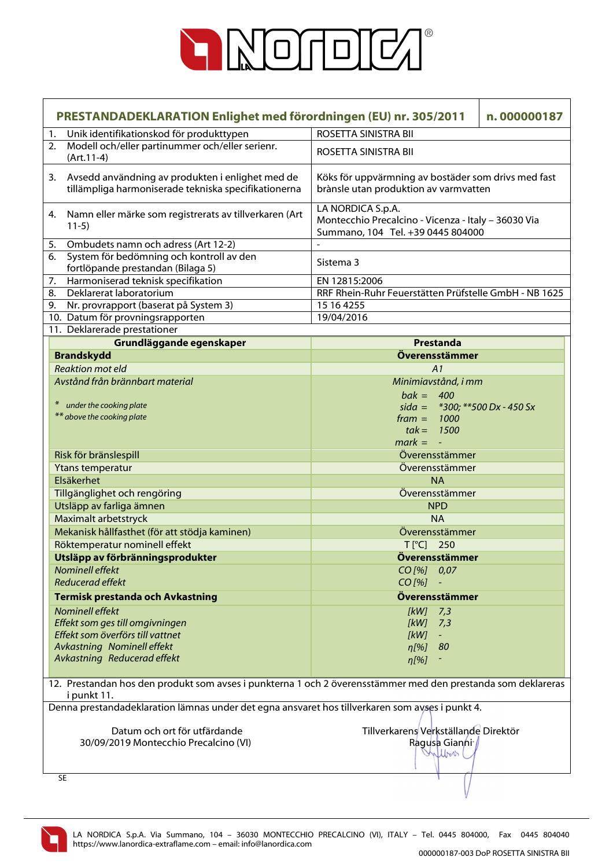

|    | PRESTANDADEKLARATION Enlighet med förordningen (EU) nr. 305/2011                                                            | n.000000187                                                                                                   |  |
|----|-----------------------------------------------------------------------------------------------------------------------------|---------------------------------------------------------------------------------------------------------------|--|
| 1. | Unik identifikationskod för produkttypen                                                                                    | ROSETTA SINISTRA BII                                                                                          |  |
| 2. | Modell och/eller partinummer och/eller serienr.<br>$(Art.11-4)$                                                             | ROSETTA SINISTRA BII                                                                                          |  |
| 3. | Avsedd användning av produkten i enlighet med de<br>tillämpliga harmoniserade tekniska specifikationerna                    | Köks för uppvärmning av bostäder som drivs med fast<br>brànsle utan produktion av varmvatten                  |  |
| 4. | Namn eller märke som registrerats av tillverkaren (Art<br>$11-5)$                                                           | LA NORDICA S.p.A.<br>Montecchio Precalcino - Vicenza - Italy - 36030 Via<br>Summano, 104 Tel. +39 0445 804000 |  |
| 5. | Ombudets namn och adress (Art 12-2)                                                                                         |                                                                                                               |  |
| 6. | System för bedömning och kontroll av den<br>fortlöpande prestandan (Bilaga 5)                                               | Sistema 3                                                                                                     |  |
| 7. | Harmoniserad teknisk specifikation                                                                                          | EN 12815:2006                                                                                                 |  |
| 8. | Deklarerat laboratorium                                                                                                     | RRF Rhein-Ruhr Feuerstätten Prüfstelle GmbH - NB 1625                                                         |  |
| 9. | Nr. provrapport (baserat på System 3)                                                                                       | 15 16 4255                                                                                                    |  |
|    | 10. Datum för provningsrapporten                                                                                            | 19/04/2016                                                                                                    |  |
|    | 11. Deklarerade prestationer                                                                                                |                                                                                                               |  |
|    | Grundläggande egenskaper                                                                                                    | Prestanda                                                                                                     |  |
|    | <b>Brandskydd</b>                                                                                                           | Överensstämmer                                                                                                |  |
|    | <b>Reaktion mot eld</b>                                                                                                     | A1                                                                                                            |  |
|    | Avstånd från brännbart material                                                                                             | Minimiavstånd, i mm                                                                                           |  |
|    |                                                                                                                             | $bak = 400$                                                                                                   |  |
|    | under the cooking plate                                                                                                     | sida = $*300$ ; $**500$ Dx - 450 Sx                                                                           |  |
|    | ** above the cooking plate                                                                                                  | $frame = 1000$                                                                                                |  |
|    |                                                                                                                             | $tak = 1500$                                                                                                  |  |
|    |                                                                                                                             | $mark = -$                                                                                                    |  |
|    | Risk för bränslespill                                                                                                       | Överensstämmer                                                                                                |  |
|    | Ytans temperatur                                                                                                            | Överensstämmer                                                                                                |  |
|    | Elsäkerhet                                                                                                                  | <b>NA</b>                                                                                                     |  |
|    | Tillgänglighet och rengöring                                                                                                | Överensstämmer                                                                                                |  |
|    | Utsläpp av farliga ämnen                                                                                                    | <b>NPD</b>                                                                                                    |  |
|    | Maximalt arbetstryck                                                                                                        | <b>NA</b>                                                                                                     |  |
|    | Mekanisk hållfasthet (för att stödja kaminen)                                                                               | Överensstämmer                                                                                                |  |
|    | Röktemperatur nominell effekt                                                                                               | $T[^{\circ}C]$<br>250                                                                                         |  |
|    | Utsläpp av förbränningsprodukter                                                                                            | Överensstämmer                                                                                                |  |
|    | <b>Nominell effekt</b>                                                                                                      | $CO$ [%] $0.07$                                                                                               |  |
|    | <b>Reducerad effekt</b>                                                                                                     | $CO$ [%]                                                                                                      |  |
|    | <b>Termisk prestanda och Avkastning</b>                                                                                     | Överensstämmer                                                                                                |  |
|    | Nominell effekt                                                                                                             | $[kW]$ 7,3                                                                                                    |  |
|    | Effekt som ges till omgivningen                                                                                             | [kW]<br>7,3                                                                                                   |  |
|    | Effekt som överförs till vattnet                                                                                            | [kW]                                                                                                          |  |
|    | Avkastning Nominell effekt                                                                                                  | 80<br>$\eta$ [%]                                                                                              |  |
|    | Avkastning Reducerad effekt                                                                                                 | $\eta$ [%]                                                                                                    |  |
|    |                                                                                                                             |                                                                                                               |  |
|    | 12. Prestandan hos den produkt som avses i punkterna 1 och 2 överensstämmer med den prestanda som deklareras<br>i punkt 11. |                                                                                                               |  |
|    | Denna prestandadeklaration lämnas under det egna ansvaret hos tillverkaren som avses i punkt 4.                             |                                                                                                               |  |
|    |                                                                                                                             |                                                                                                               |  |
|    | Datum och ort för utfärdande<br>30/09/2019 Montecchio Precalcino (VI)                                                       | Tillverkarens Verkställande Direktör<br>Ragusa Gianni /                                                       |  |
|    |                                                                                                                             | Inflow                                                                                                        |  |
|    |                                                                                                                             |                                                                                                               |  |
|    | <b>SE</b>                                                                                                                   |                                                                                                               |  |
|    |                                                                                                                             |                                                                                                               |  |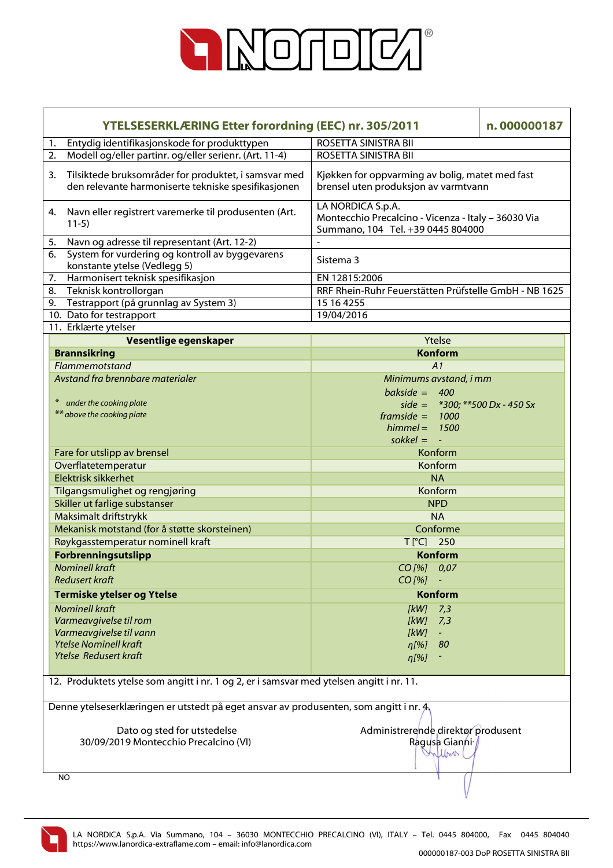

| <b>YTELSESERKLÆRING Etter forordning (EEC) nr. 305/2011</b><br>n.000000187                                        |                                                                                                               |  |  |
|-------------------------------------------------------------------------------------------------------------------|---------------------------------------------------------------------------------------------------------------|--|--|
| Entydig identifikasjonskode for produkttypen<br>1.                                                                | ROSETTA SINISTRA BII                                                                                          |  |  |
| Modell og/eller partinr. og/eller serienr. (Art. 11-4)<br>2.                                                      | ROSETTA SINISTRA BII                                                                                          |  |  |
| Tilsiktede bruksområder for produktet, i samsvar med<br>3.<br>den relevante harmoniserte tekniske spesifikasjonen | Kjøkken for oppvarming av bolig, matet med fast<br>brensel uten produksjon av varmtvann                       |  |  |
| Navn eller registrert varemerke til produsenten (Art.<br>4.<br>$11-5)$                                            | LA NORDICA S.p.A.<br>Montecchio Precalcino - Vicenza - Italy - 36030 Via<br>Summano, 104 Tel. +39 0445 804000 |  |  |
| Navn og adresse til representant (Art. 12-2)<br>5.                                                                |                                                                                                               |  |  |
| System for vurdering og kontroll av byggevarens<br>6.<br>konstante ytelse (Vedlegg 5)                             | Sistema 3                                                                                                     |  |  |
| Harmonisert teknisk spesifikasjon<br>7.                                                                           | EN 12815:2006                                                                                                 |  |  |
| Teknisk kontrollorgan<br>8.                                                                                       | RRF Rhein-Ruhr Feuerstätten Prüfstelle GmbH - NB 1625                                                         |  |  |
| Testrapport (på grunnlag av System 3)<br>9.                                                                       | 15 16 4255                                                                                                    |  |  |
| 10. Dato for testrapport                                                                                          | 19/04/2016                                                                                                    |  |  |
| 11. Erklærte ytelser                                                                                              |                                                                                                               |  |  |
| Vesentlige egenskaper                                                                                             | Ytelse                                                                                                        |  |  |
| <b>Brannsikring</b>                                                                                               | <b>Konform</b>                                                                                                |  |  |
| Flammemotstand                                                                                                    | A1                                                                                                            |  |  |
| Avstand fra brennbare materialer                                                                                  | Minimums avstand, i mm                                                                                        |  |  |
|                                                                                                                   | bakside = $400$                                                                                               |  |  |
| under the cooking plate                                                                                           | side = $*300$ ; $**500$ Dx - 450 Sx                                                                           |  |  |
| ** above the cooking plate                                                                                        | $framside = 1000$                                                                                             |  |  |
|                                                                                                                   | 1500<br>$himmel =$                                                                                            |  |  |
|                                                                                                                   | sokkel = $-$                                                                                                  |  |  |
| Fare for utslipp av brensel                                                                                       | Konform                                                                                                       |  |  |
| Overflatetemperatur                                                                                               | Konform                                                                                                       |  |  |
| Elektrisk sikkerhet                                                                                               | <b>NA</b>                                                                                                     |  |  |
| Tilgangsmulighet og rengjøring                                                                                    | Konform                                                                                                       |  |  |
| Skiller ut farlige substanser                                                                                     | <b>NPD</b>                                                                                                    |  |  |
| Maksimalt driftstrykk                                                                                             | <b>NA</b>                                                                                                     |  |  |
| Mekanisk motstand (for å støtte skorsteinen)                                                                      | Conforme                                                                                                      |  |  |
| Røykgasstemperatur nominell kraft                                                                                 | T[°C] 250                                                                                                     |  |  |
| Forbrenningsutslipp                                                                                               | Konform                                                                                                       |  |  |
| <b>Nominell kraft</b>                                                                                             | CO [%] 0,07                                                                                                   |  |  |
| <b>Redusert kraft</b>                                                                                             | $CO$ [%]                                                                                                      |  |  |
| <b>Termiske ytelser og Ytelse</b>                                                                                 | <b>Konform</b>                                                                                                |  |  |
| <b>Nominell kraft</b>                                                                                             | [kW]                                                                                                          |  |  |
| Varmeavgivelse til rom                                                                                            | 7,3<br>[KW]<br>7,3                                                                                            |  |  |
| Varmeavgivelse til vann                                                                                           | [kW]<br>$\equiv$ .                                                                                            |  |  |
| <b>Ytelse Nominell kraft</b>                                                                                      | $\eta$ [%]<br>80                                                                                              |  |  |
| <b>Ytelse Redusert kraft</b>                                                                                      | $\eta$ [%]                                                                                                    |  |  |
|                                                                                                                   |                                                                                                               |  |  |
| 12. Produktets ytelse som angitt i nr. 1 og 2, er i samsvar med ytelsen angitt i nr. 11.                          |                                                                                                               |  |  |
| Denne ytelseserklæringen er utstedt på eget ansvar av produsenten, som angitt i nr. $A$                           |                                                                                                               |  |  |
|                                                                                                                   |                                                                                                               |  |  |
| Dato og sted for utstedelse                                                                                       | Administrerende direktør produsent                                                                            |  |  |
| 30/09/2019 Montecchio Precalcino (VI)                                                                             | Ragusa Gianni /                                                                                               |  |  |
|                                                                                                                   | Wilbert                                                                                                       |  |  |
| NO.                                                                                                               |                                                                                                               |  |  |
|                                                                                                                   |                                                                                                               |  |  |

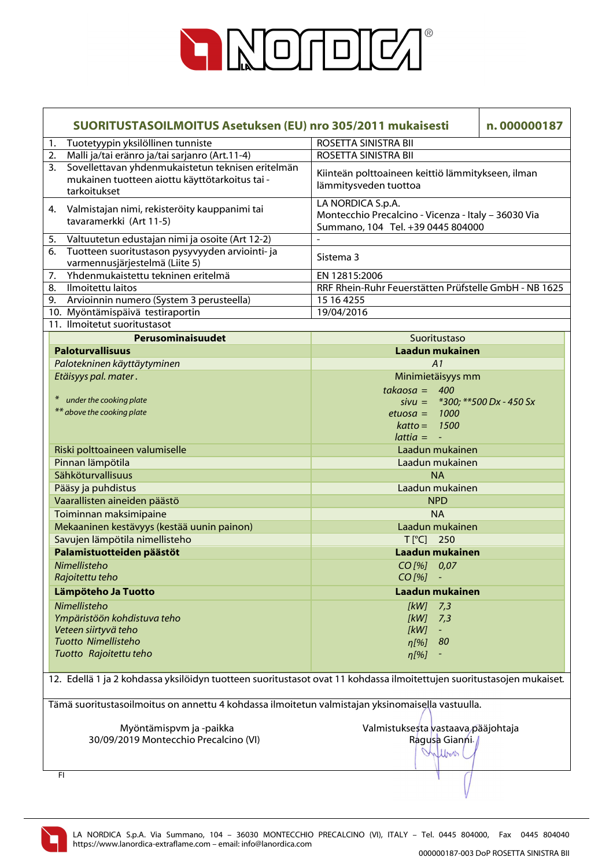

| SUORITUSTASOILMOITUS Asetuksen (EU) nro 305/2011 mukaisesti |                                                                                                                       |                                                                                                               | n.000000187 |
|-------------------------------------------------------------|-----------------------------------------------------------------------------------------------------------------------|---------------------------------------------------------------------------------------------------------------|-------------|
| 1.                                                          | Tuotetyypin yksilöllinen tunniste                                                                                     | ROSETTA SINISTRA BII                                                                                          |             |
| 2.                                                          | Malli ja/tai eränro ja/tai sarjanro (Art.11-4)                                                                        | ROSETTA SINISTRA BII                                                                                          |             |
| 3.                                                          | Sovellettavan yhdenmukaistetun teknisen eritelmän<br>mukainen tuotteen aiottu käyttötarkoitus tai -<br>tarkoitukset   | Kiinteän polttoaineen keittiö lämmitykseen, ilman<br>lämmitysveden tuottoa                                    |             |
| 4.                                                          | Valmistajan nimi, rekisteröity kauppanimi tai<br>tavaramerkki (Art 11-5)                                              | LA NORDICA S.p.A.<br>Montecchio Precalcino - Vicenza - Italy - 36030 Via<br>Summano, 104 Tel. +39 0445 804000 |             |
| 5.                                                          | Valtuutetun edustajan nimi ja osoite (Art 12-2)                                                                       |                                                                                                               |             |
| 6.                                                          | Tuotteen suoritustason pysyvyyden arviointi- ja<br>varmennusjärjestelmä (Liite 5)                                     | Sistema 3                                                                                                     |             |
| 7.                                                          | Yhdenmukaistettu tekninen eritelmä                                                                                    | EN 12815:2006                                                                                                 |             |
| 8.                                                          | Ilmoitettu laitos                                                                                                     | RRF Rhein-Ruhr Feuerstätten Prüfstelle GmbH - NB 1625                                                         |             |
|                                                             | 9. Arvioinnin numero (System 3 perusteella)                                                                           | 15 16 4255                                                                                                    |             |
|                                                             | 10. Myöntämispäivä testiraportin                                                                                      | 19/04/2016                                                                                                    |             |
|                                                             | 11. Ilmoitetut suoritustasot                                                                                          |                                                                                                               |             |
|                                                             | Perusominaisuudet                                                                                                     | Suoritustaso                                                                                                  |             |
|                                                             | <b>Paloturvallisuus</b>                                                                                               | Laadun mukainen                                                                                               |             |
|                                                             | Palotekninen käyttäytyminen                                                                                           | A1                                                                                                            |             |
|                                                             | Etäisyys pal. mater.                                                                                                  | Minimietäisyys mm                                                                                             |             |
|                                                             |                                                                                                                       | $takaosa = 400$                                                                                               |             |
|                                                             | * under the cooking plate                                                                                             | sivu = $*300$ ; $**500$ Dx - 450 Sx                                                                           |             |
|                                                             | ** above the cooking plate                                                                                            | 1000<br>$etuosa =$                                                                                            |             |
|                                                             |                                                                                                                       | $katto = 1500$                                                                                                |             |
|                                                             |                                                                                                                       | $lattice = -$                                                                                                 |             |
|                                                             | Riski polttoaineen valumiselle                                                                                        | Laadun mukainen                                                                                               |             |
|                                                             | Pinnan lämpötila                                                                                                      | Laadun mukainen                                                                                               |             |
|                                                             | Sähköturvallisuus                                                                                                     | <b>NA</b>                                                                                                     |             |
|                                                             | Pääsy ja puhdistus                                                                                                    | Laadun mukainen                                                                                               |             |
|                                                             | Vaarallisten aineiden päästö                                                                                          | <b>NPD</b>                                                                                                    |             |
|                                                             | Toiminnan maksimipaine                                                                                                | <b>NA</b>                                                                                                     |             |
|                                                             | Mekaaninen kestävyys (kestää uunin painon)                                                                            | Laadun mukainen                                                                                               |             |
|                                                             | Savujen lämpötila nimellisteho                                                                                        | $T[^{\circ}C]$ 250                                                                                            |             |
|                                                             | Palamistuotteiden päästöt                                                                                             | Laadun mukainen                                                                                               |             |
|                                                             | Nimellisteho                                                                                                          | CO[%] 0,07                                                                                                    |             |
|                                                             | Rajoitettu teho                                                                                                       | CO [%]                                                                                                        |             |
|                                                             | Lämpöteho Ja Tuotto                                                                                                   | Laadun mukainen                                                                                               |             |
|                                                             | Nimellisteho                                                                                                          |                                                                                                               |             |
|                                                             | Ympäristöön kohdistuva teho                                                                                           | [kW]<br>7,3<br>[kW]<br>7,3                                                                                    |             |
|                                                             | Veteen siirtyvä teho                                                                                                  | [kW]<br>$\sim$                                                                                                |             |
|                                                             | Tuotto Nimellisteho                                                                                                   | 80<br>$\eta$ [%]                                                                                              |             |
|                                                             | Tuotto Rajoitettu teho                                                                                                | $\eta$ [%]                                                                                                    |             |
|                                                             |                                                                                                                       |                                                                                                               |             |
|                                                             | 12. Edellä 1 ja 2 kohdassa yksilöidyn tuotteen suoritustasot ovat 11 kohdassa ilmoitettujen suoritustasojen mukaiset. |                                                                                                               |             |
|                                                             | Tämä suoritustasoilmoitus on annettu 4 kohdassa ilmoitetun valmistajan yksinomaisella vastuulla.                      |                                                                                                               |             |
|                                                             |                                                                                                                       |                                                                                                               |             |
|                                                             | Myöntämispvm ja -paikka                                                                                               | Valmistuksesta vastaava pääjohtaja                                                                            |             |
|                                                             | 30/09/2019 Montecchio Precalcino (VI)                                                                                 | Ragusa Gianni                                                                                                 |             |
|                                                             |                                                                                                                       | Inflow                                                                                                        |             |
|                                                             | FI                                                                                                                    |                                                                                                               |             |

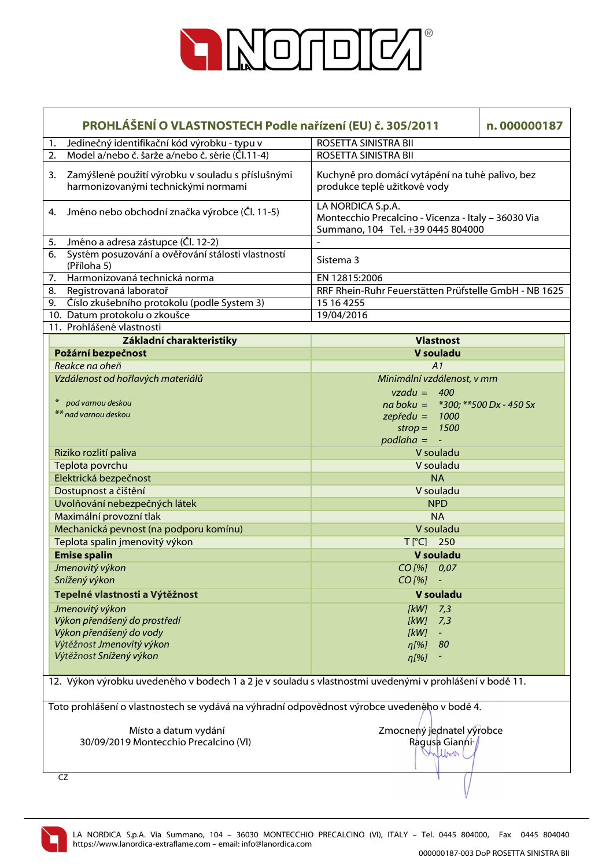

|    | PROHLÁŠENÍ O VLASTNOSTECH Podle nařízení (EU) č. 305/2011<br>n.000000187                                |                                                                                                               |  |
|----|---------------------------------------------------------------------------------------------------------|---------------------------------------------------------------------------------------------------------------|--|
| 1. | Jedinečný identifikační kód výrobku - typu v                                                            | ROSETTA SINISTRA BII                                                                                          |  |
| 2. | Model a/nebo č. šarže a/nebo č. série (Čl.11-4)                                                         | ROSETTA SINISTRA BII                                                                                          |  |
| 3. | Zamýšlené použití výrobku v souladu s příslušnými<br>harmonizovanými technickými normami                | Kuchyně pro domácí vytápění na tuhé palivo, bez<br>produkce teplé užitkové vody                               |  |
|    | 4. Jméno nebo obchodní značka výrobce (Čl. 11-5)                                                        | LA NORDICA S.p.A.<br>Montecchio Precalcino - Vicenza - Italy - 36030 Via<br>Summano, 104 Tel. +39 0445 804000 |  |
| 5. | Jméno a adresa zástupce (Čl. 12-2)                                                                      |                                                                                                               |  |
| 6. | Systém posuzování a ověřování stálosti vlastností<br>(Příloha 5)                                        | Sistema 3                                                                                                     |  |
| 7. | Harmonizovaná technická norma                                                                           | EN 12815:2006                                                                                                 |  |
| 8. | Registrovaná laboratoř                                                                                  | RRF Rhein-Ruhr Feuerstätten Prüfstelle GmbH - NB 1625                                                         |  |
|    | 9. Číslo zkušebního protokolu (podle System 3)                                                          | 15 16 4255                                                                                                    |  |
|    | 10. Datum protokolu o zkoušce                                                                           | 19/04/2016                                                                                                    |  |
|    | 11. Prohlášené vlastnosti                                                                               |                                                                                                               |  |
|    | Základní charakteristiky                                                                                | <b>Vlastnost</b>                                                                                              |  |
|    | Požární bezpečnost                                                                                      | V souladu                                                                                                     |  |
|    | Reakce na oheň                                                                                          | A1                                                                                                            |  |
|    | Vzdálenost od hořlavých materiálů                                                                       | Minimální vzdálenost, v mm                                                                                    |  |
|    |                                                                                                         | $vzadu = 400$                                                                                                 |  |
|    | pod varnou deskou                                                                                       | na boku = $*300$ ; $**500$ Dx - 450 Sx                                                                        |  |
|    | ** nad varnou deskou                                                                                    | $z$ epředu = 1000                                                                                             |  |
|    |                                                                                                         | 1500<br>$strop =$                                                                                             |  |
|    |                                                                                                         | $podl =$<br>$\omega$                                                                                          |  |
|    | Riziko rozlití paliva                                                                                   | V souladu                                                                                                     |  |
|    | Teplota povrchu                                                                                         | V souladu                                                                                                     |  |
|    | Elektrická bezpečnost                                                                                   | <b>NA</b>                                                                                                     |  |
|    | Dostupnost a čištění                                                                                    | V souladu                                                                                                     |  |
|    | Uvolňování nebezpečných látek                                                                           | <b>NPD</b>                                                                                                    |  |
|    |                                                                                                         | <b>NA</b>                                                                                                     |  |
|    | Maximální provozní tlak                                                                                 |                                                                                                               |  |
|    | Mechanická pevnost (na podporu komínu)                                                                  | V souladu                                                                                                     |  |
|    | Teplota spalin jmenovitý výkon                                                                          | T[°C] 250                                                                                                     |  |
|    | <b>Emise spalin</b>                                                                                     | V souladu                                                                                                     |  |
|    | Jmenovitý výkon                                                                                         | CO[%] 0,07                                                                                                    |  |
|    | Snížený výkon                                                                                           | $CO$ [%]                                                                                                      |  |
|    | Tepelné vlastnosti a Výtěžnost                                                                          | V souladu                                                                                                     |  |
|    | Jmenovitý výkon                                                                                         | [kW]<br>7,3                                                                                                   |  |
|    | Výkon přenášený do prostředí                                                                            | [kW]<br>7,3                                                                                                   |  |
|    | Výkon přenášený do vody                                                                                 | [kW]                                                                                                          |  |
|    | Výtěžnost Jmenovitý výkon                                                                               | 80<br>n[%]                                                                                                    |  |
|    | Výtěžnost Snížený výkon                                                                                 | $\eta$ [%]                                                                                                    |  |
|    |                                                                                                         |                                                                                                               |  |
|    | 12. Výkon výrobku uvedeného v bodech 1 a 2 je v souladu s vlastnostmi uvedenými v prohlášení v bodě 11. |                                                                                                               |  |
|    | Toto prohlášení o vlastnostech se vydává na výhradní odpovědnost výrobce uvedeného v bodě 4.            |                                                                                                               |  |
|    |                                                                                                         |                                                                                                               |  |
|    | Místo a datum vydání                                                                                    | Zmocnený jednatel výrobce                                                                                     |  |
|    | 30/09/2019 Montecchio Precalcino (VI)                                                                   | Ragusa Gianni                                                                                                 |  |
|    |                                                                                                         | Chilbert                                                                                                      |  |
|    | CZ                                                                                                      |                                                                                                               |  |
|    |                                                                                                         |                                                                                                               |  |

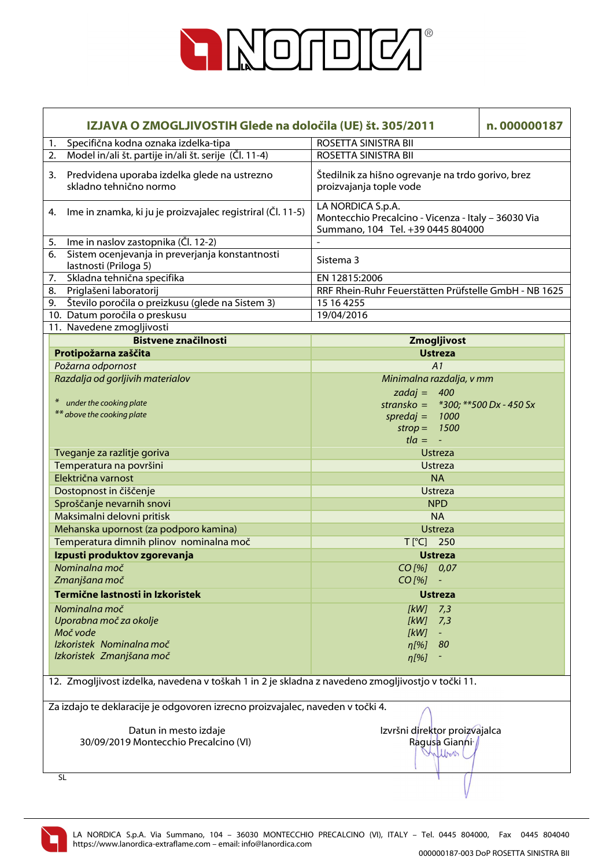

| IZJAVA O ZMOGLJIVOSTIH Glede na določila (UE) št. 305/2011                                        |                                                                                                               | n.000000187 |
|---------------------------------------------------------------------------------------------------|---------------------------------------------------------------------------------------------------------------|-------------|
| Specifična kodna oznaka izdelka-tipa<br>1.                                                        | ROSETTA SINISTRA BII                                                                                          |             |
| Model in/ali št. partije in/ali št. serije (Čl. 11-4)<br>2.                                       | ROSETTA SINISTRA BII                                                                                          |             |
| Predvidena uporaba izdelka glede na ustrezno<br>3.<br>skladno tehnično normo                      | Štedilnik za hišno ogrevanje na trdo gorivo, brez<br>proizvajanja tople vode                                  |             |
| Ime in znamka, ki ju je proizvajalec registriral (Čl. 11-5)<br>4.                                 | LA NORDICA S.p.A.<br>Montecchio Precalcino - Vicenza - Italy - 36030 Via<br>Summano, 104 Tel. +39 0445 804000 |             |
| Ime in naslov zastopnika (Čl. 12-2)<br>5.                                                         |                                                                                                               |             |
| Sistem ocenjevanja in preverjanja konstantnosti<br>6.<br>lastnosti (Priloga 5)                    | Sistema 3                                                                                                     |             |
| Skladna tehnična specifika<br>7.                                                                  | EN 12815:2006                                                                                                 |             |
| Priglašeni laboratorij<br>8.                                                                      | RRF Rhein-Ruhr Feuerstätten Prüfstelle GmbH - NB 1625                                                         |             |
| Število poročila o preizkusu (glede na Sistem 3)<br>9.                                            | 15 16 4255                                                                                                    |             |
| 10. Datum poročila o preskusu                                                                     | 19/04/2016                                                                                                    |             |
| 11. Navedene zmogljivosti                                                                         |                                                                                                               |             |
| <b>Bistvene značilnosti</b>                                                                       | Zmogljivost                                                                                                   |             |
| Protipožarna zaščita                                                                              | <b>Ustreza</b>                                                                                                |             |
| Požarna odpornost                                                                                 | A1                                                                                                            |             |
| Razdalja od gorljivih materialov                                                                  | Minimalna razdalja, v mm                                                                                      |             |
|                                                                                                   | zadaj = $400$                                                                                                 |             |
| * under the cooking plate                                                                         | stransko = $*300$ ; $**500$ Dx - 450 Sx                                                                       |             |
| ** above the cooking plate                                                                        | $spreadaj =$<br>1000                                                                                          |             |
|                                                                                                   | 1500<br>$strop =$                                                                                             |             |
|                                                                                                   | $t/a = -$                                                                                                     |             |
| Tveganje za razlitje goriva                                                                       | <b>Ustreza</b>                                                                                                |             |
| Temperatura na površini                                                                           | <b>Ustreza</b>                                                                                                |             |
| Električna varnost                                                                                | <b>NA</b>                                                                                                     |             |
| Dostopnost in čiščenje                                                                            | <b>Ustreza</b>                                                                                                |             |
| Sproščanje nevarnih snovi                                                                         | <b>NPD</b>                                                                                                    |             |
| Maksimalni delovni pritisk                                                                        | <b>NA</b>                                                                                                     |             |
| Mehanska upornost (za podporo kamina)                                                             | <b>Ustreza</b>                                                                                                |             |
| Temperatura dimnih plinov nominalna moč                                                           | T[°C] 250                                                                                                     |             |
| Izpusti produktov zgorevanja                                                                      | <b>Ustreza</b>                                                                                                |             |
| Nominalna moč                                                                                     | CO[%] 0,07                                                                                                    |             |
| Zmanjšana moč                                                                                     | $CO$ [%]                                                                                                      |             |
| Termične lastnosti in Izkoristek                                                                  | <b>Ustreza</b>                                                                                                |             |
| Nominalna moč                                                                                     | [kW]<br>7,3                                                                                                   |             |
| Uporabna moč za okolje                                                                            | [kW]<br>7,3                                                                                                   |             |
| Moč vode                                                                                          | [kW]                                                                                                          |             |
| Izkoristek Nominalna moč                                                                          | 80<br>$n[\%]$                                                                                                 |             |
| Izkoristek Zmanjšana moč                                                                          | $\eta$ [%]                                                                                                    |             |
|                                                                                                   |                                                                                                               |             |
| 12. Zmogljivost izdelka, navedena v toškah 1 in 2 je skladna z navedeno zmogljivostjo v točki 11. |                                                                                                               |             |
| Za izdajo te deklaracije je odgovoren izrecno proizvajalec, naveden v točki 4.                    |                                                                                                               |             |
|                                                                                                   |                                                                                                               |             |
| Izvršni direktor proizvajalca<br>Datun in mesto izdaje                                            |                                                                                                               |             |
| 30/09/2019 Montecchio Precalcino (VI)                                                             | Ragusa Gianni /                                                                                               |             |
|                                                                                                   | Unlbook                                                                                                       |             |
| <b>SL</b>                                                                                         |                                                                                                               |             |

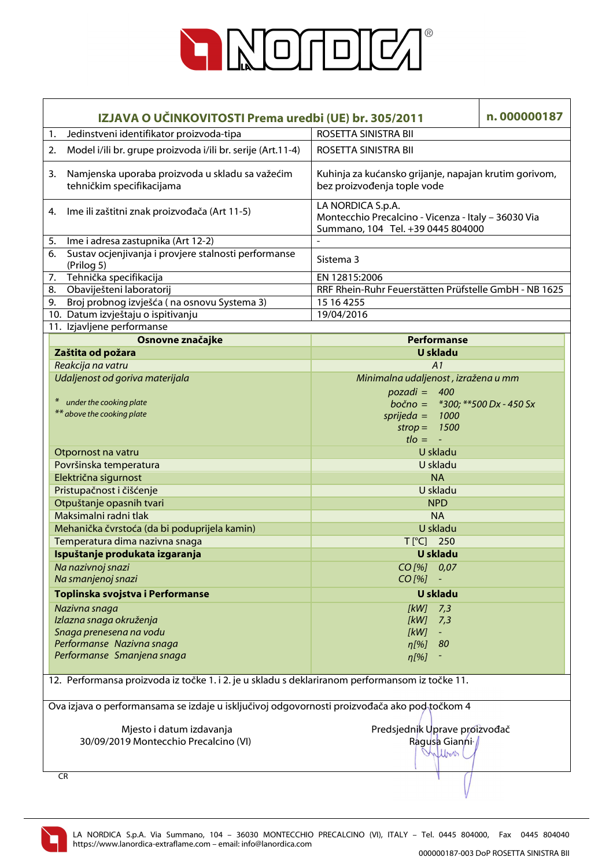

| IZJAVA O UČINKOVITOSTI Prema uredbi (UE) br. 305/2011                                           |                                                                                              |                                                                                                               | n.000000187 |  |  |
|-------------------------------------------------------------------------------------------------|----------------------------------------------------------------------------------------------|---------------------------------------------------------------------------------------------------------------|-------------|--|--|
| 1.                                                                                              | Jedinstveni identifikator proizvoda-tipa                                                     | ROSETTA SINISTRA BII                                                                                          |             |  |  |
| 2.                                                                                              | Model i/ili br. grupe proizvoda i/ili br. serije (Art.11-4)                                  | ROSETTA SINISTRA BII                                                                                          |             |  |  |
| 3.                                                                                              | Namjenska uporaba proizvoda u skladu sa važećim<br>tehničkim specifikacijama                 | Kuhinja za kućansko grijanje, napajan krutim gorivom,<br>bez proizvođenja tople vode                          |             |  |  |
|                                                                                                 | 4. Ime ili zaštitni znak proizvođača (Art 11-5)                                              | LA NORDICA S.p.A.<br>Montecchio Precalcino - Vicenza - Italy - 36030 Via<br>Summano, 104 Tel. +39 0445 804000 |             |  |  |
| 5.                                                                                              | Ime i adresa zastupnika (Art 12-2)                                                           |                                                                                                               |             |  |  |
| 6.                                                                                              | Sustav ocjenjivanja i provjere stalnosti performanse<br>(Prilog 5)                           | Sistema 3                                                                                                     |             |  |  |
| 7.                                                                                              | Tehnička specifikacija                                                                       | EN 12815:2006                                                                                                 |             |  |  |
| 8.                                                                                              | Obaviješteni laboratorij                                                                     | RRF Rhein-Ruhr Feuerstätten Prüfstelle GmbH - NB 1625                                                         |             |  |  |
|                                                                                                 | 9. Broj probnog izvješća (na osnovu Systema 3)                                               | 15 16 4255                                                                                                    |             |  |  |
|                                                                                                 | 10. Datum izvještaju o ispitivanju                                                           | 19/04/2016                                                                                                    |             |  |  |
|                                                                                                 | 11. Izjavljene performanse                                                                   |                                                                                                               |             |  |  |
|                                                                                                 | Osnovne značajke                                                                             | Performanse                                                                                                   |             |  |  |
|                                                                                                 | Zaštita od požara                                                                            | <b>U</b> skladu                                                                                               |             |  |  |
|                                                                                                 | Reakcija na vatru                                                                            | A1                                                                                                            |             |  |  |
|                                                                                                 | Udaljenost od goriva materijala                                                              | Minimalna udaljenost, izražena u mm                                                                           |             |  |  |
|                                                                                                 |                                                                                              | $pozadi = 400$                                                                                                |             |  |  |
|                                                                                                 | under the cooking plate                                                                      | bočno = $*300$ ; $**500$ Dx - 450 Sx                                                                          |             |  |  |
|                                                                                                 | ** above the cooking plate                                                                   | sprijeda = $1000$                                                                                             |             |  |  |
|                                                                                                 |                                                                                              | 1500<br>$strop =$                                                                                             |             |  |  |
|                                                                                                 |                                                                                              | $t \cdot l$ = $-$                                                                                             |             |  |  |
|                                                                                                 | Otpornost na vatru                                                                           | U skladu                                                                                                      |             |  |  |
|                                                                                                 | Površinska temperatura                                                                       | U skladu                                                                                                      |             |  |  |
|                                                                                                 | Električna sigurnost                                                                         | <b>NA</b>                                                                                                     |             |  |  |
|                                                                                                 | Pristupačnost i čišćenje                                                                     | U skladu                                                                                                      |             |  |  |
|                                                                                                 | Otpuštanje opasnih tvari                                                                     | <b>NPD</b>                                                                                                    |             |  |  |
|                                                                                                 | Maksimalni radni tlak                                                                        | <b>NA</b>                                                                                                     |             |  |  |
|                                                                                                 | Mehanička čvrstoća (da bi poduprijela kamin)                                                 | U skladu                                                                                                      |             |  |  |
|                                                                                                 | Temperatura dima nazivna snaga                                                               | $T[^{\circ}C]$ 250                                                                                            |             |  |  |
|                                                                                                 | Ispuštanje produkata izgaranja                                                               | U skladu                                                                                                      |             |  |  |
|                                                                                                 | Na nazivnoj snazi                                                                            | $CO$ [%]<br>0,07                                                                                              |             |  |  |
|                                                                                                 | Na smanjenoj snazi                                                                           | $CO$ [%]                                                                                                      |             |  |  |
|                                                                                                 | Toplinska svojstva i Performanse                                                             | U skladu                                                                                                      |             |  |  |
|                                                                                                 | Nazivna snaga                                                                                | 7,3<br>[kW]                                                                                                   |             |  |  |
|                                                                                                 | Izlazna snaga okruženja                                                                      | [kW]<br>7,3                                                                                                   |             |  |  |
|                                                                                                 | Snaga prenesena na vodu                                                                      | [kW]<br>$\equiv$                                                                                              |             |  |  |
|                                                                                                 | Performanse Nazivna snaga                                                                    | 80<br>$\eta$ [%]                                                                                              |             |  |  |
|                                                                                                 | Performanse Smanjena snaga                                                                   | $\eta$ [%]                                                                                                    |             |  |  |
|                                                                                                 |                                                                                              |                                                                                                               |             |  |  |
| 12. Performansa proizvoda iz točke 1. i 2. je u skladu s deklariranom performansom iz točke 11. |                                                                                              |                                                                                                               |             |  |  |
|                                                                                                 | Ova izjava o performansama se izdaje u isključivoj odgovornosti proizvođača ako pod točkom 4 |                                                                                                               |             |  |  |
|                                                                                                 |                                                                                              |                                                                                                               |             |  |  |
|                                                                                                 | Mjesto i datum izdavanja                                                                     | Predsjednik Uprave proizvođač                                                                                 |             |  |  |
| 30/09/2019 Montecchio Precalcino (VI)                                                           |                                                                                              | Ragusa Gianni /                                                                                               |             |  |  |
|                                                                                                 |                                                                                              | Inflow                                                                                                        |             |  |  |
|                                                                                                 | <b>CR</b>                                                                                    |                                                                                                               |             |  |  |

LA NORDICA S.p.A. Via Summano, 104 – 36030 MONTECCHIO PRECALCINO (VI), ITALY – Tel. 0445 804000, Fax 0445 804040 https://www.lanordica-extraflame.com – email: info@lanordica.com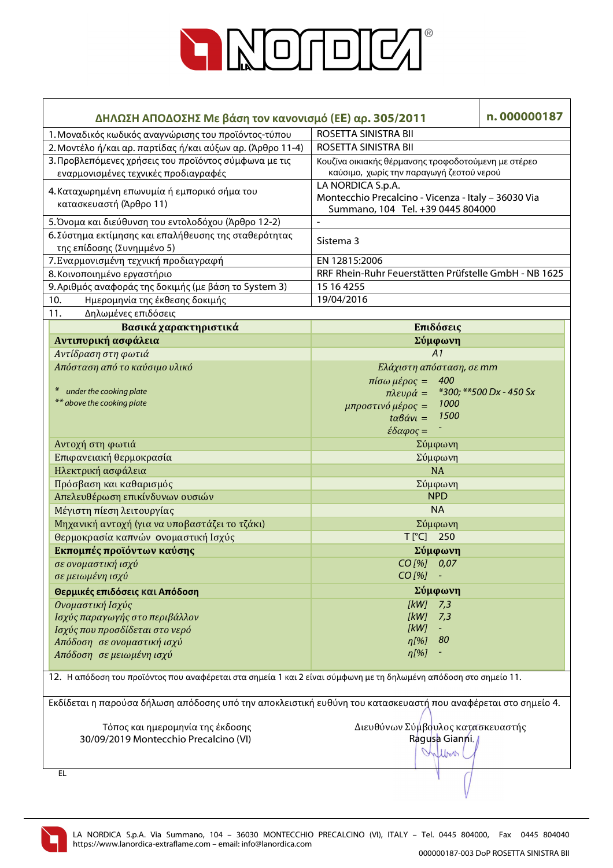

| ΔΗΛΩΣΗ ΑΠΟΔΟΣΗΣ Με βάση τον κανονισμό (ΕΕ) αρ. 305/2011                                                           | n.000000187                                                                                                   |                          |  |  |
|-------------------------------------------------------------------------------------------------------------------|---------------------------------------------------------------------------------------------------------------|--------------------------|--|--|
| 1. Μοναδικός κωδικός αναγνώρισης του προϊόντος-τύπου                                                              | ROSETTA SINISTRA BII                                                                                          |                          |  |  |
| 2. Μοντέλο ή/και αρ. παρτίδας ή/και αύξων αρ. (Άρθρο 11-4)                                                        | ROSETTA SINISTRA BII                                                                                          |                          |  |  |
| 3. Προβλεπόμενες χρήσεις του προϊόντος σύμφωνα με τις<br>εναρμονισμένες τεχνικές προδιαγραφές                     | Κουζίνα οικιακής θέρμανσης τροφοδοτούμενη με στέρεο<br>καύσιμο, χωρίς την παραγωγή ζεστού νερού               |                          |  |  |
| 4. Καταχωρημένη επωνυμία ή εμπορικό σήμα του<br>κατασκευαστή (Άρθρο 11)                                           | LA NORDICA S.p.A.<br>Montecchio Precalcino - Vicenza - Italy - 36030 Via<br>Summano, 104 Tel. +39 0445 804000 |                          |  |  |
| 5. Όνομα και διεύθυνση του εντολοδόχου (Άρθρο 12-2)                                                               |                                                                                                               |                          |  |  |
| 6. Σύστημα εκτίμησης και επαλήθευσης της σταθερότητας<br>της επίδοσης (Συνημμένο 5)                               | Sistema 3                                                                                                     |                          |  |  |
| 7. Εναρμονισμένη τεχνική προδιαγραφή                                                                              | EN 12815:2006                                                                                                 |                          |  |  |
| 8. Κοινοποιημένο εργαστήριο                                                                                       | RRF Rhein-Ruhr Feuerstätten Prüfstelle GmbH - NB 1625                                                         |                          |  |  |
| 9. Αριθμός αναφοράς της δοκιμής (με βάση το System 3)                                                             | 15 16 4255                                                                                                    |                          |  |  |
| 10.<br>Ημερομηνία της έκθεσης δοκιμής                                                                             | 19/04/2016                                                                                                    |                          |  |  |
| 11.<br>Δηλωμένες επιδόσεις                                                                                        |                                                                                                               |                          |  |  |
| Βασικά χαρακτηριστικά                                                                                             | Επιδόσεις                                                                                                     |                          |  |  |
| Αντιπυρική ασφάλεια                                                                                               | Σύμφωνη                                                                                                       |                          |  |  |
| Αντίδραση στη φωτιά                                                                                               | A1                                                                                                            |                          |  |  |
| Απόσταση από το καύσιμο υλικό                                                                                     | Ελάχιστη απόσταση, σε mm                                                                                      |                          |  |  |
|                                                                                                                   | 400<br>$πiσω μέρος =$                                                                                         |                          |  |  |
| $\ast$<br>under the cooking plate                                                                                 | $πλευρά =$                                                                                                    | *300; ** 500 Dx - 450 Sx |  |  |
| ** above the cooking plate                                                                                        | 1000<br>μπροστινό μέρος =                                                                                     |                          |  |  |
|                                                                                                                   | 1500<br>$t\alpha\beta\dot{\alpha}v\iota =$                                                                    |                          |  |  |
|                                                                                                                   | $\epsilon \delta \alpha \varphi$ ος =                                                                         |                          |  |  |
| Αντοχή στη φωτιά                                                                                                  | Σύμφωνη                                                                                                       |                          |  |  |
| Επιφανειακή θερμοκρασία                                                                                           | Σύμφωνη                                                                                                       |                          |  |  |
| Ηλεκτρική ασφάλεια                                                                                                | NA                                                                                                            |                          |  |  |
| Πρόσβαση και καθαρισμός                                                                                           | Σύμφωνη                                                                                                       |                          |  |  |
| Απελευθέρωση επικίνδυνων ουσιών                                                                                   | <b>NPD</b>                                                                                                    |                          |  |  |
| Μέγιστη πίεση λειτουργίας                                                                                         | <b>NA</b>                                                                                                     |                          |  |  |
| Μηχανική αντοχή (για να υποβαστάζει το τζάκι)                                                                     | Σύμφωνη                                                                                                       |                          |  |  |
| Θερμοκρασία καπνών ονομαστική Ισχύς                                                                               | T[°C] 250                                                                                                     |                          |  |  |
| Εκπομπές προϊόντων καύσης                                                                                         | Σύμφωνη                                                                                                       |                          |  |  |
| σε ονομαστική ισχύ                                                                                                | CO [%] 0,07                                                                                                   |                          |  |  |
| σε μειωμένη ισχύ                                                                                                  | $CO$ [%]                                                                                                      |                          |  |  |
| Θερμικές επιδόσεις και Απόδοση                                                                                    | Σύμφωνη                                                                                                       |                          |  |  |
| Ονομαστική Ισχύς                                                                                                  | [kW]<br>7,3                                                                                                   |                          |  |  |
| Ισχύς παραγωγής στο περιβάλλον                                                                                    | [kW]<br>7,3                                                                                                   |                          |  |  |
| Ισχύς που προσδίδεται στο νερό                                                                                    | [kW]                                                                                                          |                          |  |  |
| Απόδοση σε ονομαστική ισχύ                                                                                        | $\eta$ [%]<br>80                                                                                              |                          |  |  |
| Απόδοση σε μειωμένη ισχύ                                                                                          | $\eta$ [%]                                                                                                    |                          |  |  |
|                                                                                                                   |                                                                                                               |                          |  |  |
| 12. Η απόδοση του προϊόντος που αναφέρεται στα σημεία 1 και 2 είναι σύμφωνη με τη δηλωμένη απόδοση στο σημείο 11. |                                                                                                               |                          |  |  |
| Εκδίδεται η παρούσα δήλωση απόδοσης υπό την αποκλειστική ευθύνη του κατασκευαστή που αναφέρεται στο σημείο 4.     |                                                                                                               |                          |  |  |
|                                                                                                                   |                                                                                                               |                          |  |  |
| Τόπος και ημερομηνία της έκδοσης                                                                                  | Διευθύνων Σύμβουλος κατασκευαστής                                                                             |                          |  |  |
| 30/09/2019 Montecchio Precalcino (VI)                                                                             | Ragusa Gianni.                                                                                                |                          |  |  |
|                                                                                                                   | Inflow                                                                                                        |                          |  |  |
| EL                                                                                                                |                                                                                                               |                          |  |  |
|                                                                                                                   |                                                                                                               |                          |  |  |

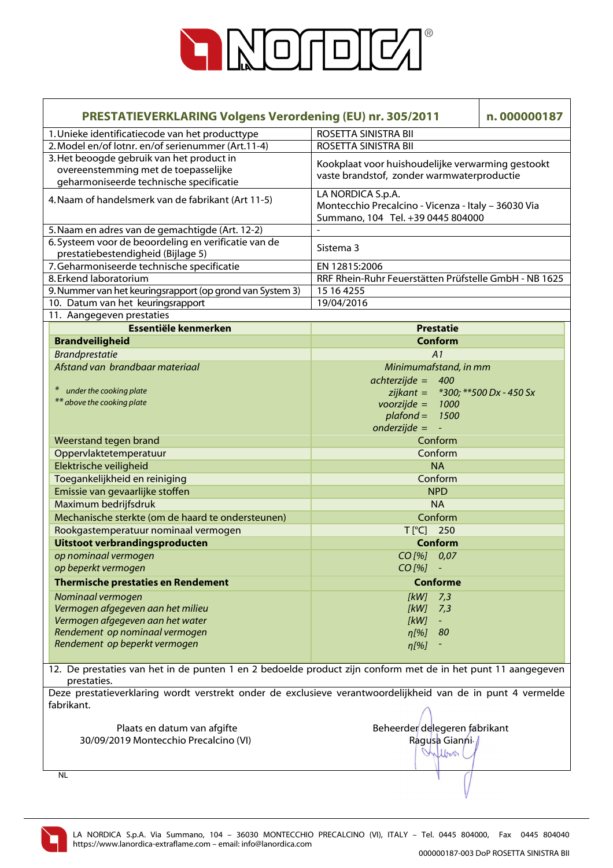

| <b>PRESTATIEVERKLARING Volgens Verordening (EU) nr. 305/2011</b>                                                             | n.000000187                                                                                                   |  |  |  |
|------------------------------------------------------------------------------------------------------------------------------|---------------------------------------------------------------------------------------------------------------|--|--|--|
| 1. Unieke identificatiecode van het producttype                                                                              | ROSETTA SINISTRA BII                                                                                          |  |  |  |
| 2. Model en/of lotnr. en/of serienummer (Art.11-4)                                                                           | ROSETTA SINISTRA BII                                                                                          |  |  |  |
| 3. Het beoogde gebruik van het product in<br>overeenstemming met de toepasselijke<br>geharmoniseerde technische specificatie | Kookplaat voor huishoudelijke verwarming gestookt<br>vaste brandstof, zonder warmwaterproductie               |  |  |  |
| 4. Naam of handelsmerk van de fabrikant (Art 11-5)                                                                           | LA NORDICA S.p.A.<br>Montecchio Precalcino - Vicenza - Italy - 36030 Via<br>Summano, 104 Tel. +39 0445 804000 |  |  |  |
| 5. Naam en adres van de gemachtigde (Art. 12-2)                                                                              |                                                                                                               |  |  |  |
| 6. Systeem voor de beoordeling en verificatie van de                                                                         | Sistema 3                                                                                                     |  |  |  |
| prestatiebestendigheid (Bijlage 5)                                                                                           |                                                                                                               |  |  |  |
| 7. Geharmoniseerde technische specificatie                                                                                   | EN 12815:2006                                                                                                 |  |  |  |
| 8. Erkend laboratorium                                                                                                       | RRF Rhein-Ruhr Feuerstätten Prüfstelle GmbH - NB 1625                                                         |  |  |  |
| 9. Nummer van het keuringsrapport (op grond van System 3)                                                                    | $\overline{15}$ 16 4255                                                                                       |  |  |  |
| 10. Datum van het keuringsrapport<br>11. Aangegeven prestaties                                                               | 19/04/2016                                                                                                    |  |  |  |
| <b>Essentiële kenmerken</b>                                                                                                  | <b>Prestatie</b>                                                                                              |  |  |  |
| <b>Brandveiligheid</b>                                                                                                       | Conform                                                                                                       |  |  |  |
| <b>Brandprestatie</b>                                                                                                        |                                                                                                               |  |  |  |
| Afstand van brandbaar materiaal                                                                                              | A1<br>Minimumafstand, in mm                                                                                   |  |  |  |
|                                                                                                                              | $achterzijde = 400$                                                                                           |  |  |  |
| under the cooking plate                                                                                                      | zijkant = $*300$ ; $**500$ Dx - 450 Sx                                                                        |  |  |  |
| ** above the cooking plate                                                                                                   | $voorzijde =$<br>1000                                                                                         |  |  |  |
|                                                                                                                              | $plafond =$<br>1500                                                                                           |  |  |  |
|                                                                                                                              | $onderzijde =$<br>$\sim$ $-$                                                                                  |  |  |  |
| Weerstand tegen brand                                                                                                        | Conform                                                                                                       |  |  |  |
| Oppervlaktetemperatuur                                                                                                       | Conform                                                                                                       |  |  |  |
| Elektrische veiligheid                                                                                                       | <b>NA</b>                                                                                                     |  |  |  |
| Toegankelijkheid en reiniging                                                                                                | Conform                                                                                                       |  |  |  |
| Emissie van gevaarlijke stoffen                                                                                              | <b>NPD</b>                                                                                                    |  |  |  |
| Maximum bedrijfsdruk                                                                                                         | <b>NA</b>                                                                                                     |  |  |  |
| Mechanische sterkte (om de haard te ondersteunen)                                                                            | Conform                                                                                                       |  |  |  |
| Rookgastemperatuur nominaal vermogen                                                                                         | T[°C] 250                                                                                                     |  |  |  |
| Uitstoot verbrandingsproducten                                                                                               | Conform                                                                                                       |  |  |  |
| op nominaal vermogen                                                                                                         | CO[%] 0,07                                                                                                    |  |  |  |
| op beperkt vermogen                                                                                                          | CO[%] -                                                                                                       |  |  |  |
| <b>Thermische prestaties en Rendement</b>                                                                                    | <b>Conforme</b>                                                                                               |  |  |  |
| Nominaal vermogen                                                                                                            | [kW]<br>7,3                                                                                                   |  |  |  |
| Vermogen afgegeven aan het milieu                                                                                            | [kW]<br>7,3                                                                                                   |  |  |  |
| Vermogen afgegeven aan het water                                                                                             | [kW]                                                                                                          |  |  |  |
| Rendement op nominaal vermogen                                                                                               | -80<br>$\eta$ [%]                                                                                             |  |  |  |
| Rendement op beperkt vermogen                                                                                                | $\eta$ [%]                                                                                                    |  |  |  |
|                                                                                                                              |                                                                                                               |  |  |  |
| 12. De prestaties van het in de punten 1 en 2 bedoelde product zijn conform met de in het punt 11 aangegeven<br>prestaties.  |                                                                                                               |  |  |  |
| Deze prestatieverklaring wordt verstrekt onder de exclusieve verantwoordelijkheid van de in punt 4 vermelde                  |                                                                                                               |  |  |  |
| fabrikant.                                                                                                                   |                                                                                                               |  |  |  |
|                                                                                                                              |                                                                                                               |  |  |  |
| Plaats en datum van afgifte                                                                                                  | Beheerder delegeren fabrikant                                                                                 |  |  |  |
| 30/09/2019 Montecchio Precalcino (VI)                                                                                        | Ragusa Gianni /                                                                                               |  |  |  |
|                                                                                                                              | Inflow                                                                                                        |  |  |  |
| NL                                                                                                                           |                                                                                                               |  |  |  |
|                                                                                                                              |                                                                                                               |  |  |  |

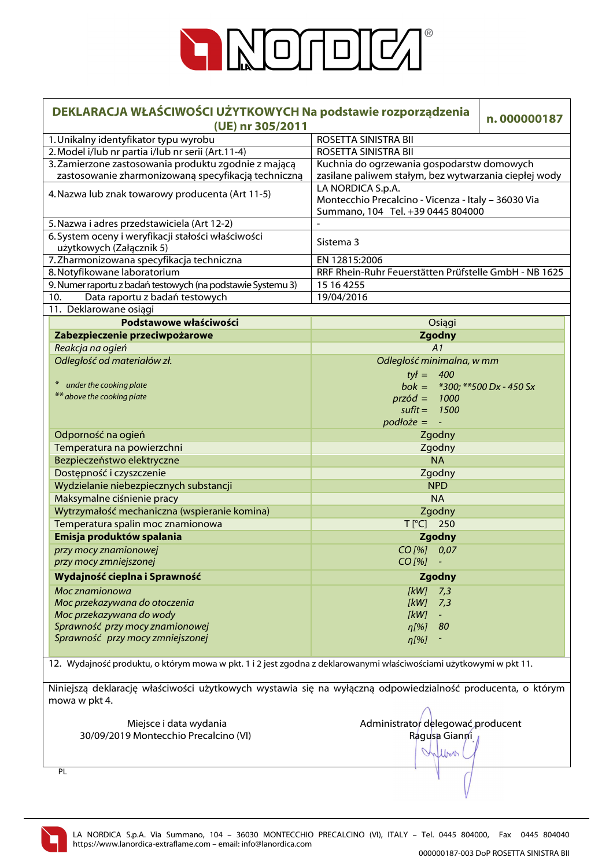

| DEKLARACJA WŁAŚCIWOŚCI UŻYTKOWYCH Na podstawie rozporządzenia<br>(UE) nr 305/2011                                           | n.000000187                                                              |  |  |  |
|-----------------------------------------------------------------------------------------------------------------------------|--------------------------------------------------------------------------|--|--|--|
| 1. Unikalny identyfikator typu wyrobu                                                                                       | ROSETTA SINISTRA BII                                                     |  |  |  |
| 2. Model i/lub nr partia i/lub nr serii (Art.11-4)                                                                          | ROSETTA SINISTRA BII                                                     |  |  |  |
| 3. Zamierzone zastosowania produktu zgodnie z mającą                                                                        | Kuchnia do ogrzewania gospodarstw domowych                               |  |  |  |
| zastosowanie zharmonizowaną specyfikacją techniczną                                                                         | zasilane paliwem stałym, bez wytwarzania ciepłej wody                    |  |  |  |
| 4. Nazwa lub znak towarowy producenta (Art 11-5)                                                                            | LA NORDICA S.p.A.<br>Montecchio Precalcino - Vicenza - Italy - 36030 Via |  |  |  |
| 5. Nazwa i adres przedstawiciela (Art 12-2)                                                                                 | Summano, 104 Tel. +39 0445 804000                                        |  |  |  |
| 6. System oceny i weryfikacji stałości właściwości                                                                          |                                                                          |  |  |  |
| użytkowych (Załącznik 5)                                                                                                    | Sistema 3                                                                |  |  |  |
| 7. Zharmonizowana specyfikacja techniczna                                                                                   | EN 12815:2006                                                            |  |  |  |
| 8. Notyfikowane laboratorium                                                                                                | RRF Rhein-Ruhr Feuerstätten Prüfstelle GmbH - NB 1625                    |  |  |  |
| 9. Numer raportu z badań testowych (na podstawie Systemu 3)                                                                 | 15 16 4255                                                               |  |  |  |
| Data raportu z badań testowych<br>10.                                                                                       | 19/04/2016                                                               |  |  |  |
| 11. Deklarowane osiągi                                                                                                      |                                                                          |  |  |  |
| Podstawowe właściwości                                                                                                      | Osiągi                                                                   |  |  |  |
| Zabezpieczenie przeciwpożarowe                                                                                              | <b>Zgodny</b>                                                            |  |  |  |
| Reakcja na ogień                                                                                                            | A1                                                                       |  |  |  |
| Odległość od materiałów zł.                                                                                                 | Odległość minimalna, w mm                                                |  |  |  |
|                                                                                                                             | $tył = 400$                                                              |  |  |  |
| under the cooking plate                                                                                                     | bok = $*300$ ; $**500$ Dx - 450 Sx                                       |  |  |  |
| ** above the cooking plate                                                                                                  | $przód = 1000$                                                           |  |  |  |
|                                                                                                                             | sufit = $1500$                                                           |  |  |  |
|                                                                                                                             | $podlo\ddot{z}e = -$                                                     |  |  |  |
| Odporność na ogień                                                                                                          | Zgodny                                                                   |  |  |  |
| Temperatura na powierzchni                                                                                                  | Zgodny                                                                   |  |  |  |
| Bezpieczeństwo elektryczne                                                                                                  | <b>NA</b>                                                                |  |  |  |
| Dostępność i czyszczenie                                                                                                    | Zgodny                                                                   |  |  |  |
| Wydzielanie niebezpiecznych substancji                                                                                      | <b>NPD</b>                                                               |  |  |  |
| Maksymalne ciśnienie pracy                                                                                                  | <b>NA</b>                                                                |  |  |  |
| Wytrzymałość mechaniczna (wspieranie komina)                                                                                | Zgodny                                                                   |  |  |  |
| Temperatura spalin moc znamionowa                                                                                           | $T[^{\circ}C]$ 250                                                       |  |  |  |
| Emisja produktów spalania                                                                                                   | <b>Zgodny</b>                                                            |  |  |  |
| przy mocy znamionowej                                                                                                       | CO [%] 0,07                                                              |  |  |  |
| przy mocy zmniejszonej                                                                                                      | CO[%] -                                                                  |  |  |  |
| Wydajność cieplna i Sprawność                                                                                               | Zgodny                                                                   |  |  |  |
| Moc znamionowa                                                                                                              | 7,3<br>[KW]                                                              |  |  |  |
| Moc przekazywana do otoczenia                                                                                               | [kW]<br>7,3                                                              |  |  |  |
| Moc przekazywana do wody                                                                                                    | [kW]<br>$\omega_{\rm c}$                                                 |  |  |  |
| Sprawność przy mocy znamionowej                                                                                             | 80<br>$\eta$ [%]                                                         |  |  |  |
| Sprawność przy mocy zmniejszonej                                                                                            | $\eta$ [%]                                                               |  |  |  |
| 12. Wydajność produktu, o którym mowa w pkt. 1 i 2 jest zgodna z deklarowanymi właściwościami użytkowymi w pkt 11.          |                                                                          |  |  |  |
| Niniejszą deklarację właściwości użytkowych wystawia się na wyłączną odpowiedzialność producenta, o którym<br>mowa w pkt 4. |                                                                          |  |  |  |
| Miejsce i data wydania                                                                                                      | Administrator delegować producent                                        |  |  |  |
| 30/09/2019 Montecchio Precalcino (VI)                                                                                       | Ragusa Gianni                                                            |  |  |  |

PL

LA NORDICA S.p.A. Via Summano, 104 – 36030 MONTECCHIO PRECALCINO (VI), ITALY – Tel. 0445 804000, Fax 0445 804040 https://www.lanordica-extraflame.com – email: info@lanordica.com

Infloor